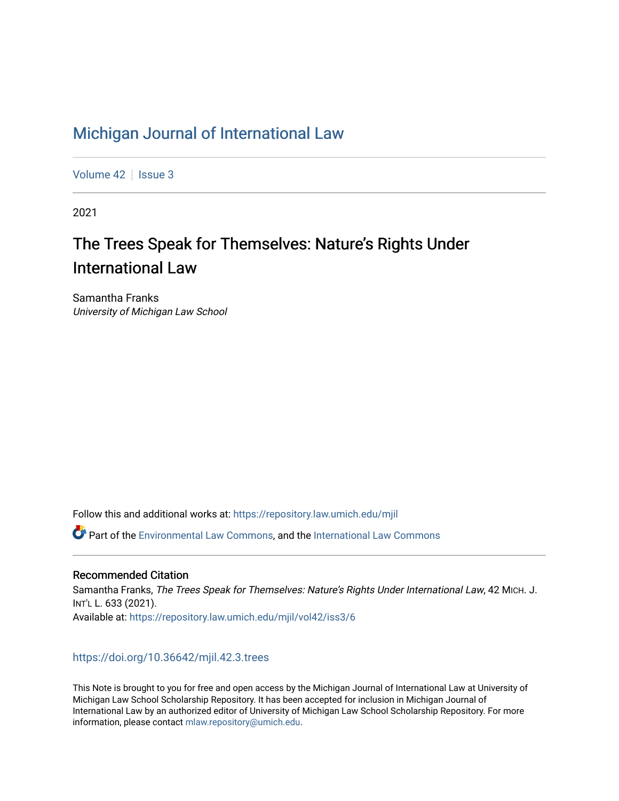# [Michigan Journal of International Law](https://repository.law.umich.edu/mjil)

[Volume 42](https://repository.law.umich.edu/mjil/vol42) | [Issue 3](https://repository.law.umich.edu/mjil/vol42/iss3)

2021

# The Trees Speak for Themselves: Nature's Rights Under International Law

Samantha Franks University of Michigan Law School

Follow this and additional works at: [https://repository.law.umich.edu/mjil](https://repository.law.umich.edu/mjil?utm_source=repository.law.umich.edu%2Fmjil%2Fvol42%2Fiss3%2F6&utm_medium=PDF&utm_campaign=PDFCoverPages) 

Part of the [Environmental Law Commons](http://network.bepress.com/hgg/discipline/599?utm_source=repository.law.umich.edu%2Fmjil%2Fvol42%2Fiss3%2F6&utm_medium=PDF&utm_campaign=PDFCoverPages), and the [International Law Commons](http://network.bepress.com/hgg/discipline/609?utm_source=repository.law.umich.edu%2Fmjil%2Fvol42%2Fiss3%2F6&utm_medium=PDF&utm_campaign=PDFCoverPages) 

### Recommended Citation

Samantha Franks, The Trees Speak for Themselves: Nature's Rights Under International Law, 42 MICH. J. INT'L L. 633 (2021). Available at: [https://repository.law.umich.edu/mjil/vol42/iss3/6](https://repository.law.umich.edu/mjil/vol42/iss3/6?utm_source=repository.law.umich.edu%2Fmjil%2Fvol42%2Fiss3%2F6&utm_medium=PDF&utm_campaign=PDFCoverPages) 

## <https://doi.org/10.36642/mjil.42.3.trees>

This Note is brought to you for free and open access by the Michigan Journal of International Law at University of Michigan Law School Scholarship Repository. It has been accepted for inclusion in Michigan Journal of International Law by an authorized editor of University of Michigan Law School Scholarship Repository. For more information, please contact [mlaw.repository@umich.edu](mailto:mlaw.repository@umich.edu).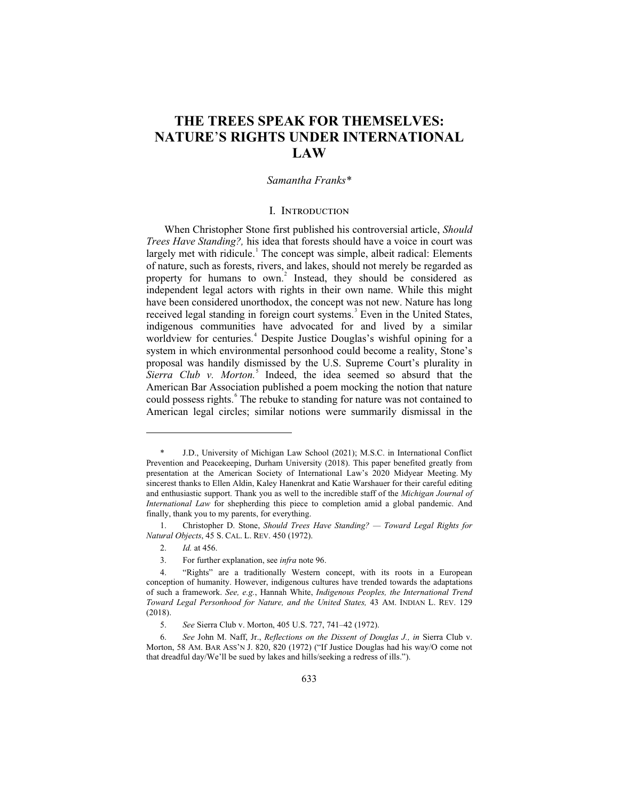## **THE TREES SPEAK FOR THEMSELVES: NATURE**'**S RIGHTS UNDER INTERNATIONAL LAW**

#### *Samantha Franks\**

#### I. Introduction

When Christopher Stone first published his controversial article, *Should Trees Have Standing?,* his idea that forests should have a voice in court was largely met with ridicule.<sup>1</sup> The concept was simple, albeit radical: Elements of nature, such as forests, rivers, and lakes, should not merely be regarded as property for humans to own.<sup>2</sup> Instead, they should be considered as independent legal actors with rights in their own name. While this might have been considered unorthodox, the concept was not new. Nature has long received legal standing in foreign court systems.<sup>3</sup> Even in the United States, indigenous communities have advocated for and lived by a similar worldview for centuries.<sup>4</sup> Despite Justice Douglas's wishful opining for a system in which environmental personhood could become a reality, Stone's proposal was handily dismissed by the U.S. Supreme Court's plurality in Sierra Club v. Morton.<sup>5</sup> Indeed, the idea seemed so absurd that the American Bar Association published a poem mocking the notion that nature could possess rights.<sup>6</sup> The rebuke to standing for nature was not contained to American legal circles; similar notions were summarily dismissal in the

 <sup>\*</sup> J.D., University of Michigan Law School (2021); M.S.C. in International Conflict Prevention and Peacekeeping, Durham University (2018). This paper benefited greatly from presentation at the American Society of International Law's 2020 Midyear Meeting. My sincerest thanks to Ellen Aldin, Kaley Hanenkrat and Katie Warshauer for their careful editing and enthusiastic support. Thank you as well to the incredible staff of the *Michigan Journal of International Law* for shepherding this piece to completion amid a global pandemic. And finally, thank you to my parents, for everything.

 <sup>1.</sup> Christopher D. Stone, *Should Trees Have Standing? — Toward Legal Rights for Natural Objects*, 45 S. CAL. L. REV. 450 (1972).

 <sup>2.</sup> *Id.* at 456.

 <sup>3.</sup> For further explanation, see *infra* note 96.

 <sup>4. &</sup>quot;Rights" are a traditionally Western concept, with its roots in a European conception of humanity. However, indigenous cultures have trended towards the adaptations of such a framework. *See, e.g.*, Hannah White, *Indigenous Peoples, the International Trend Toward Legal Personhood for Nature, and the United States,* 43 AM. INDIAN L. REV. 129 (2018).

 <sup>5.</sup> *See* Sierra Club v. Morton, 405 U.S. 727, 741–42 (1972).

 <sup>6.</sup> *See* John M. Naff, Jr., *Reflections on the Dissent of Douglas J., in* Sierra Club v. Morton, 58 AM. BAR ASS'N J. 820, 820 (1972) ("If Justice Douglas had his way/O come not that dreadful day/We'll be sued by lakes and hills/seeking a redress of ills.").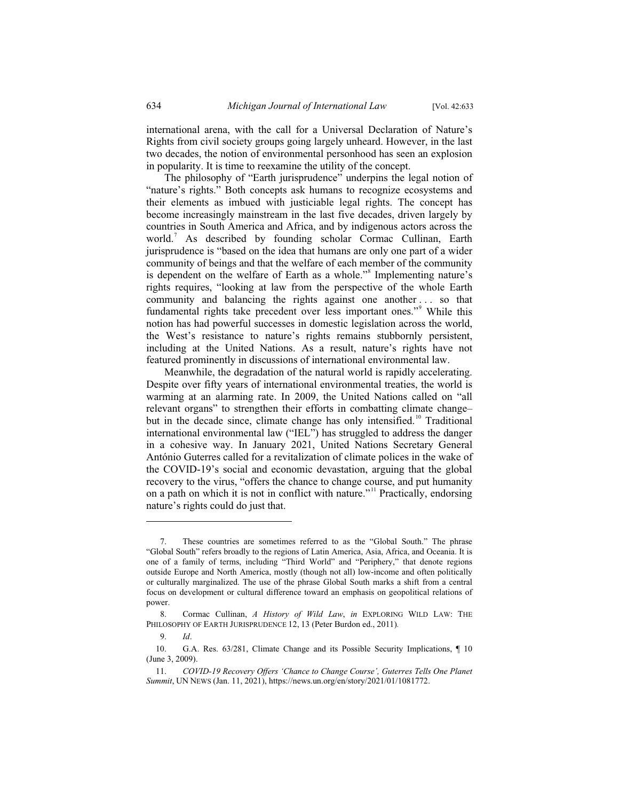international arena, with the call for a Universal Declaration of Nature's Rights from civil society groups going largely unheard. However, in the last two decades, the notion of environmental personhood has seen an explosion in popularity. It is time to reexamine the utility of the concept.

The philosophy of "Earth jurisprudence" underpins the legal notion of "nature's rights." Both concepts ask humans to recognize ecosystems and their elements as imbued with justiciable legal rights. The concept has become increasingly mainstream in the last five decades, driven largely by countries in South America and Africa, and by indigenous actors across the world.<sup>7</sup> As described by founding scholar Cormac Cullinan, Earth jurisprudence is "based on the idea that humans are only one part of a wider community of beings and that the welfare of each member of the community is dependent on the welfare of Earth as a whole."<sup>8</sup> Implementing nature's rights requires, "looking at law from the perspective of the whole Earth community and balancing the rights against one another . . . so that fundamental rights take precedent over less important ones."<sup>9</sup> While this notion has had powerful successes in domestic legislation across the world, the West's resistance to nature's rights remains stubbornly persistent, including at the United Nations. As a result, nature's rights have not featured prominently in discussions of international environmental law.

Meanwhile, the degradation of the natural world is rapidly accelerating. Despite over fifty years of international environmental treaties, the world is warming at an alarming rate. In 2009, the United Nations called on "all relevant organs" to strengthen their efforts in combatting climate change– but in the decade since, climate change has only intensified.<sup>10</sup> Traditional international environmental law ("IEL") has struggled to address the danger in a cohesive way. In January 2021, United Nations Secretary General António Guterres called for a revitalization of climate polices in the wake of the COVID-19's social and economic devastation, arguing that the global recovery to the virus, "offers the chance to change course, and put humanity on a path on which it is not in conflict with nature."<sup>11</sup> Practically, endorsing nature's rights could do just that.

 <sup>7.</sup> These countries are sometimes referred to as the "Global South." The phrase "Global South" refers broadly to the regions of Latin America, Asia, Africa, and Oceania. It is one of a family of terms, including "Third World" and "Periphery," that denote regions outside Europe and North America, mostly (though not all) low-income and often politically or culturally marginalized. The use of the phrase Global South marks a shift from a central focus on development or cultural difference toward an emphasis on geopolitical relations of power.

 <sup>8.</sup> Cormac Cullinan, *A History of Wild Law*, *in* EXPLORING WILD LAW: THE PHILOSOPHY OF EARTH JURISPRUDENCE 12, 13 (Peter Burdon ed., 2011)*.*

 <sup>9.</sup> *Id*.

 <sup>10.</sup> G.A. Res. 63/281, Climate Change and its Possible Security Implications, ¶ 10 (June 3, 2009).

 <sup>11.</sup> *COVID-19 Recovery Offers 'Chance to Change Course', Guterres Tells One Planet Summit*, UN NEWS (Jan. 11, 2021), https://news.un.org/en/story/2021/01/1081772.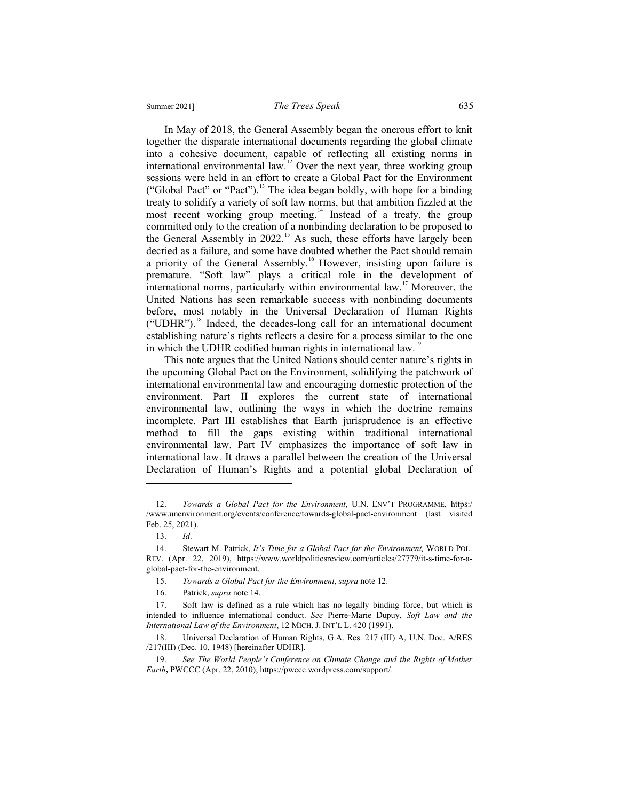#### Summer 2021] *The Trees Speak* 635

In May of 2018, the General Assembly began the onerous effort to knit together the disparate international documents regarding the global climate into a cohesive document, capable of reflecting all existing norms in international environmental law.<sup>12</sup> Over the next year, three working group sessions were held in an effort to create a Global Pact for the Environment ("Global Pact" or "Pact").<sup>13</sup> The idea began boldly, with hope for a binding treaty to solidify a variety of soft law norms, but that ambition fizzled at the most recent working group meeting.<sup>14</sup> Instead of a treaty, the group committed only to the creation of a nonbinding declaration to be proposed to the General Assembly in 2022.<sup>15</sup> As such, these efforts have largely been decried as a failure, and some have doubted whether the Pact should remain a priority of the General Assembly.<sup>16</sup> However, insisting upon failure is premature. "Soft law" plays a critical role in the development of international norms, particularly within environmental law.<sup>17</sup> Moreover, the United Nations has seen remarkable success with nonbinding documents before, most notably in the Universal Declaration of Human Rights  $("UDHR")$ <sup>18</sup>. Indeed, the decades-long call for an international document establishing nature's rights reflects a desire for a process similar to the one in which the UDHR codified human rights in international law.<sup>19</sup>

This note argues that the United Nations should center nature's rights in the upcoming Global Pact on the Environment, solidifying the patchwork of international environmental law and encouraging domestic protection of the environment. Part II explores the current state of international environmental law, outlining the ways in which the doctrine remains incomplete. Part III establishes that Earth jurisprudence is an effective method to fill the gaps existing within traditional international environmental law. Part IV emphasizes the importance of soft law in international law. It draws a parallel between the creation of the Universal Declaration of Human's Rights and a potential global Declaration of

 <sup>12.</sup> *Towards a Global Pact for the Environment*, U.N. ENV'T PROGRAMME, https:/ /www.unenvironment.org/events/conference/towards-global-pact-environment (last visited Feb. 25, 2021).

 <sup>13.</sup> *Id*.

 <sup>14.</sup> Stewart M. Patrick, *It's Time for a Global Pact for the Environment,* WORLD POL. REV. (Apr. 22, 2019), https://www.worldpoliticsreview.com/articles/27779/it-s-time-for-aglobal-pact-for-the-environment.

 <sup>15.</sup> *Towards a Global Pact for the Environment*, *supra* note 12.

 <sup>16.</sup> Patrick, *supra* note 14.

 <sup>17.</sup> Soft law is defined as a rule which has no legally binding force, but which is intended to influence international conduct. *See* Pierre-Marie Dupuy, *Soft Law and the International Law of the Environment*, 12 MICH. J. INT'L L. 420 (1991).

 <sup>18.</sup> Universal Declaration of Human Rights, G.A. Res. 217 (III) A, U.N. Doc. A/RES /217(III) (Dec. 10, 1948) [hereinafter UDHR].

 <sup>19.</sup> *See The World People's Conference on Climate Change and the Rights of Mother Earth***,** PWCCC (Apr. 22, 2010), https://pwccc.wordpress.com/support/.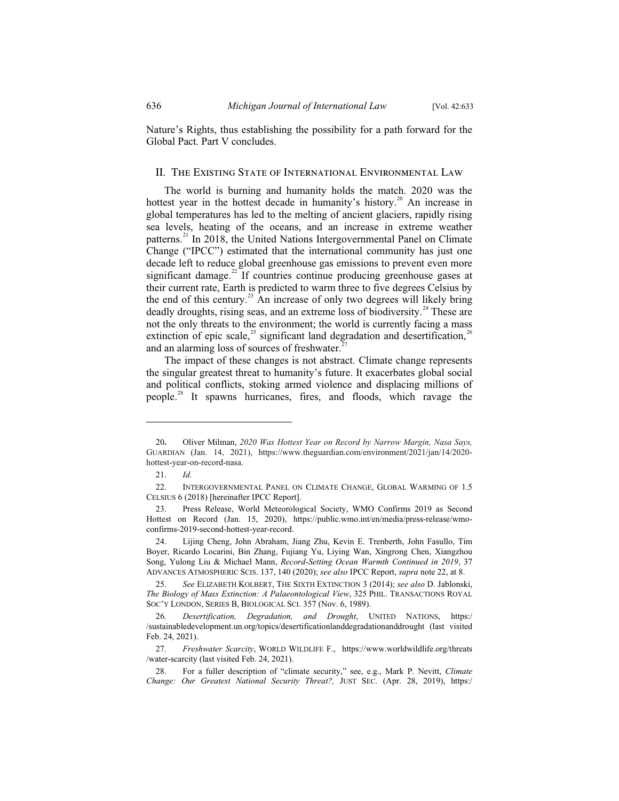Nature's Rights, thus establishing the possibility for a path forward for the Global Pact. Part V concludes.

#### II. The Existing State of International Environmental Law

The world is burning and humanity holds the match. 2020 was the hottest year in the hottest decade in humanity's history.<sup>20</sup> An increase in global temperatures has led to the melting of ancient glaciers, rapidly rising sea levels, heating of the oceans, and an increase in extreme weather patterns.<sup>21</sup> In 2018, the United Nations Intergovernmental Panel on Climate Change ("IPCC") estimated that the international community has just one decade left to reduce global greenhouse gas emissions to prevent even more significant damage.<sup>22</sup> If countries continue producing greenhouse gases at their current rate, Earth is predicted to warm three to five degrees Celsius by the end of this century.<sup>23</sup> An increase of only two degrees will likely bring deadly droughts, rising seas, and an extreme loss of biodiversity.<sup>24</sup> These are not the only threats to the environment; the world is currently facing a mass extinction of epic scale,<sup>25</sup> significant land degradation and desertification,<sup>2</sup> and an alarming loss of sources of freshwater.

The impact of these changes is not abstract. Climate change represents the singular greatest threat to humanity's future. It exacerbates global social and political conflicts, stoking armed violence and displacing millions of people.<sup>28</sup> It spawns hurricanes, fires, and floods, which ravage the

<sup>20</sup>**.** Oliver Milman, *2020 Was Hottest Year on Record by Narrow Margin, Nasa Says,*  GUARDIAN (Jan. 14, 2021), https://www.theguardian.com/environment/2021/jan/14/2020 hottest-year-on-record-nasa.

 <sup>21.</sup> *Id.*

 <sup>22.</sup> INTERGOVERNMENTAL PANEL ON CLIMATE CHANGE, GLOBAL WARMING OF 1.5 CELSIUS 6 (2018) [hereinafter IPCC Report].

 <sup>23.</sup> Press Release, World Meteorological Society, WMO Confirms 2019 as Second Hottest on Record (Jan. 15, 2020), https://public.wmo.int/en/media/press-release/wmoconfirms-2019-second-hottest-year-record.

 <sup>24.</sup> Lijing Cheng, John Abraham, Jiang Zhu, Kevin E. Trenberth, John Fasullo, Tim Boyer, Ricardo Locarini, Bin Zhang, Fujiang Yu, Liying Wan, Xingrong Chen, Xiangzhou Song, Yulong Liu & Michael Mann, *Record-Setting Ocean Warmth Continued in 2019*, 37 ADVANCES ATMOSPHERIC SCIS. 137, 140 (2020); *see also* IPCC Report, *supra* note 22, at 8.

 <sup>25.</sup> *See* ELIZABETH KOLBERT, THE SIXTH EXTINCTION 3 (2014); *see also* D. Jablonski, *The Biology of Mass Extinction: A Palaeontological View*, 325 PHIL. TRANSACTIONS ROYAL SOC'Y LONDON, SERIES B, BIOLOGICAL SCI. 357 (Nov. 6, 1989).

<sup>26</sup>*. Desertification, Degradation, and Drought*, UNITED NATIONS, https:/ /sustainabledevelopment.un.org/topics/desertificationlanddegradationanddrought (last visited Feb. 24, 2021).

<sup>27</sup>*. Freshwater Scarcity*, WORLD WILDLIFE F., https://www.worldwildlife.org/threats /water-scarcity (last visited Feb. 24, 2021).

 <sup>28.</sup> For a fuller description of "climate security," see, e.g., Mark P. Nevitt, *Climate Change: Our Greatest National Security Threat?,* JUST SEC. (Apr. 28, 2019), https:/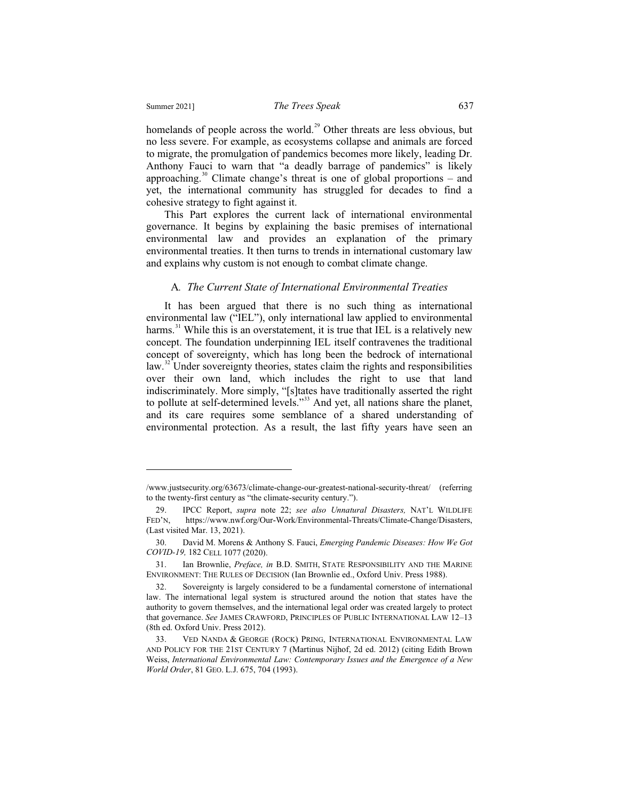$\overline{a}$ 

homelands of people across the world.<sup>29</sup> Other threats are less obvious, but no less severe. For example, as ecosystems collapse and animals are forced to migrate, the promulgation of pandemics becomes more likely, leading Dr. Anthony Fauci to warn that "a deadly barrage of pandemics" is likely approaching. $30$  Climate change's threat is one of global proportions – and yet, the international community has struggled for decades to find a cohesive strategy to fight against it.

This Part explores the current lack of international environmental governance. It begins by explaining the basic premises of international environmental law and provides an explanation of the primary environmental treaties. It then turns to trends in international customary law and explains why custom is not enough to combat climate change.

#### A*. The Current State of International Environmental Treaties*

It has been argued that there is no such thing as international environmental law ("IEL"), only international law applied to environmental harms.<sup>31</sup> While this is an overstatement, it is true that IEL is a relatively new concept. The foundation underpinning IEL itself contravenes the traditional concept of sovereignty, which has long been the bedrock of international law.<sup>32</sup> Under sovereignty theories, states claim the rights and responsibilities over their own land, which includes the right to use that land indiscriminately. More simply, "[s]tates have traditionally asserted the right to pollute at self-determined levels."33 And yet, all nations share the planet, and its care requires some semblance of a shared understanding of environmental protection. As a result, the last fifty years have seen an

<sup>/</sup>www.justsecurity.org/63673/climate-change-our-greatest-national-security-threat/ (referring to the twenty-first century as "the climate-security century.").

 <sup>29.</sup> IPCC Report, *supra* note 22; *see also Unnatural Disasters,* NAT'L WILDLIFE FED'N, https://www.nwf.org/Our-Work/Environmental-Threats/Climate-Change/Disasters, (Last visited Mar. 13, 2021).

 <sup>30.</sup> David M. Morens & Anthony S. Fauci, *Emerging Pandemic Diseases: How We Got COVID-19,* 182 CELL 1077 (2020).

 <sup>31.</sup> Ian Brownlie, *Preface, in* B.D. SMITH, STATE RESPONSIBILITY AND THE MARINE ENVIRONMENT: THE RULES OF DECISION (Ian Brownlie ed., Oxford Univ. Press 1988).

 <sup>32.</sup> Sovereignty is largely considered to be a fundamental cornerstone of international law. The international legal system is structured around the notion that states have the authority to govern themselves, and the international legal order was created largely to protect that governance. *See* JAMES CRAWFORD, PRINCIPLES OF PUBLIC INTERNATIONAL LAW 12–13 (8th ed. Oxford Univ. Press 2012).

 <sup>33.</sup> VED NANDA & GEORGE (ROCK) PRING, INTERNATIONAL ENVIRONMENTAL LAW AND POLICY FOR THE 21ST CENTURY 7 (Martinus Nijhof, 2d ed. 2012) (citing Edith Brown Weiss, *International Environmental Law: Contemporary Issues and the Emergence of a New World Order*, 81 GEO. L.J. 675, 704 (1993).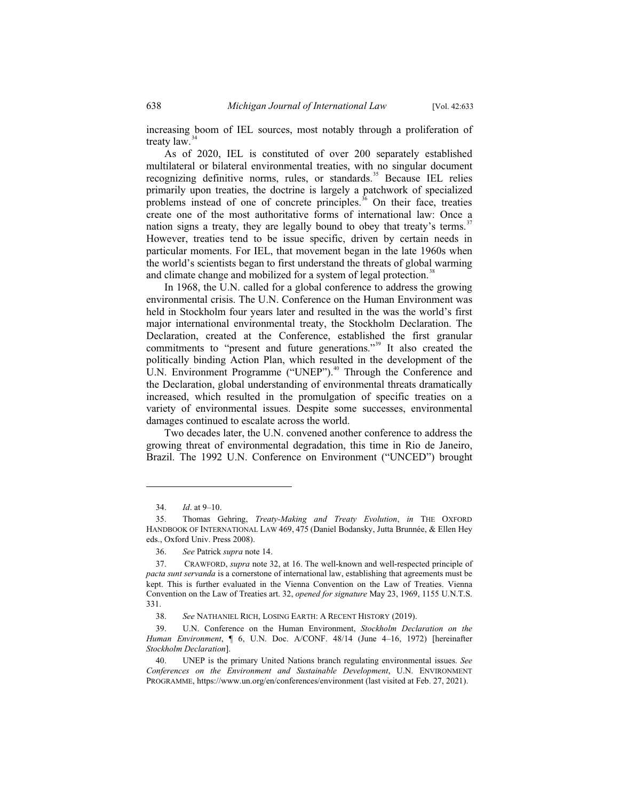increasing boom of IEL sources, most notably through a proliferation of treaty  $law.<sup>34</sup>$ 

As of 2020, IEL is constituted of over 200 separately established multilateral or bilateral environmental treaties, with no singular document recognizing definitive norms, rules, or standards.<sup>35</sup> Because IEL relies primarily upon treaties, the doctrine is largely a patchwork of specialized problems instead of one of concrete principles.<sup>36</sup> On their face, treaties create one of the most authoritative forms of international law: Once a nation signs a treaty, they are legally bound to obey that treaty's terms.<sup>37</sup> However, treaties tend to be issue specific, driven by certain needs in particular moments. For IEL, that movement began in the late 1960s when the world's scientists began to first understand the threats of global warming and climate change and mobilized for a system of legal protection.<sup>38</sup>

In 1968, the U.N. called for a global conference to address the growing environmental crisis. The U.N. Conference on the Human Environment was held in Stockholm four years later and resulted in the was the world's first major international environmental treaty, the Stockholm Declaration. The Declaration, created at the Conference, established the first granular commitments to "present and future generations."<sup>39</sup> It also created the politically binding Action Plan, which resulted in the development of the U.N. Environment Programme ("UNEP").<sup>40</sup> Through the Conference and the Declaration, global understanding of environmental threats dramatically increased, which resulted in the promulgation of specific treaties on a variety of environmental issues. Despite some successes, environmental damages continued to escalate across the world.

Two decades later, the U.N. convened another conference to address the growing threat of environmental degradation, this time in Rio de Janeiro, Brazil. The 1992 U.N. Conference on Environment ("UNCED") brought

 <sup>34.</sup> *Id*. at 9–10.

 <sup>35.</sup> Thomas Gehring, *Treaty-Making and Treaty Evolution*, *in* THE OXFORD HANDBOOK OF INTERNATIONAL LAW 469, 475 (Daniel Bodansky, Jutta Brunnée, & Ellen Hey eds., Oxford Univ. Press 2008).

 <sup>36.</sup> *See* Patrick *supra* note 14.

 <sup>37.</sup> CRAWFORD, *supra* note 32, at 16. The well-known and well-respected principle of *pacta sunt servanda* is a cornerstone of international law, establishing that agreements must be kept. This is further evaluated in the Vienna Convention on the Law of Treaties. Vienna Convention on the Law of Treaties art. 32, *opened for signature* May 23, 1969, 1155 U.N.T.S. 331.

 <sup>38.</sup> *See* NATHANIEL RICH, LOSING EARTH: A RECENT HISTORY (2019).

 <sup>39.</sup> U.N. Conference on the Human Environment, *Stockholm Declaration on the Human Environment*, ¶ 6, U.N. Doc. A/CONF. 48/14 (June 4–16, 1972) [hereinafter *Stockholm Declaration*].

 <sup>40.</sup> UNEP is the primary United Nations branch regulating environmental issues. *See Conferences on the Environment and Sustainable Development*, U.N. ENVIRONMENT PROGRAMME, https://www.un.org/en/conferences/environment (last visited at Feb. 27, 2021).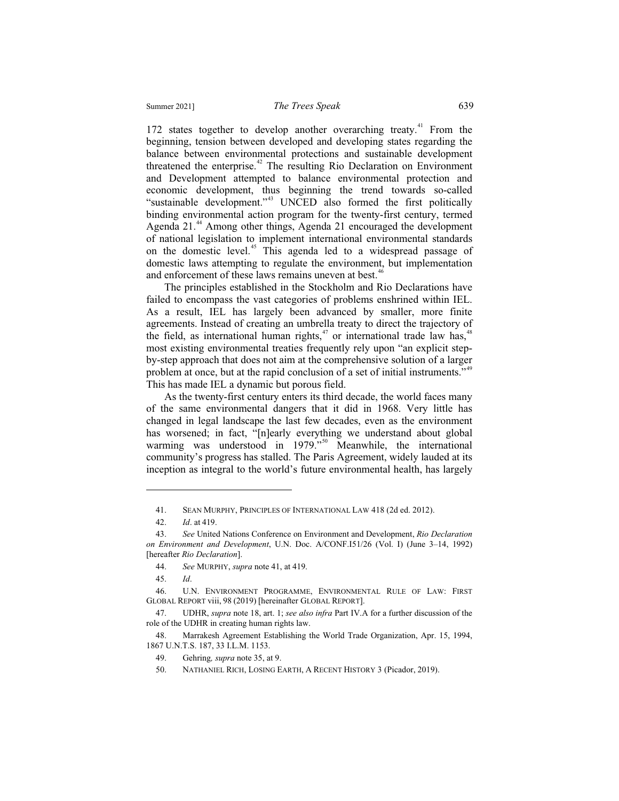172 states together to develop another overarching treaty.<sup>41</sup> From the beginning, tension between developed and developing states regarding the balance between environmental protections and sustainable development threatened the enterprise.<sup>42</sup> The resulting Rio Declaration on Environment and Development attempted to balance environmental protection and economic development, thus beginning the trend towards so-called "sustainable development."<sup>43</sup> UNCED also formed the first politically binding environmental action program for the twenty-first century, termed Agenda 21.<sup>44</sup> Among other things, Agenda 21 encouraged the development of national legislation to implement international environmental standards on the domestic level.45 This agenda led to a widespread passage of domestic laws attempting to regulate the environment, but implementation and enforcement of these laws remains uneven at best.<sup>46</sup>

The principles established in the Stockholm and Rio Declarations have failed to encompass the vast categories of problems enshrined within IEL. As a result, IEL has largely been advanced by smaller, more finite agreements. Instead of creating an umbrella treaty to direct the trajectory of the field, as international human rights, $47$  or international trade law has, $48$ most existing environmental treaties frequently rely upon "an explicit stepby-step approach that does not aim at the comprehensive solution of a larger problem at once, but at the rapid conclusion of a set of initial instruments."<sup>49</sup> This has made IEL a dynamic but porous field.

As the twenty-first century enters its third decade, the world faces many of the same environmental dangers that it did in 1968. Very little has changed in legal landscape the last few decades, even as the environment has worsened; in fact, "[n]early everything we understand about global warming was understood in 1979."<sup>50</sup> Meanwhile, the international community's progress has stalled. The Paris Agreement, widely lauded at its inception as integral to the world's future environmental health, has largely

 <sup>41.</sup> SEAN MURPHY, PRINCIPLES OF INTERNATIONAL LAW 418 (2d ed. 2012).

 <sup>42.</sup> *Id*. at 419.

 <sup>43.</sup> *See* United Nations Conference on Environment and Development, *Rio Declaration on Environment and Development*, U.N. Doc. A/CONF.I51/26 (Vol. I) (June 3–14, 1992) [hereafter *Rio Declaration*].

 <sup>44.</sup> *See* MURPHY, *supra* note 41, at 419.

 <sup>45.</sup> *Id*.

 <sup>46.</sup> U.N. ENVIRONMENT PROGRAMME, ENVIRONMENTAL RULE OF LAW: FIRST GLOBAL REPORT viii, 98 (2019) [hereinafter GLOBAL REPORT].

 <sup>47.</sup> UDHR, *supra* note 18, art. 1; *see also infra* Part IV.A for a further discussion of the role of the UDHR in creating human rights law.

 <sup>48.</sup> Marrakesh Agreement Establishing the World Trade Organization, Apr. 15, 1994, 1867 U.N.T.S. 187, 33 I.L.M. 1153.

 <sup>49.</sup> Gehring*, supra* note 35, at 9.

 <sup>50.</sup> NATHANIEL RICH, LOSING EARTH, A RECENT HISTORY 3 (Picador, 2019).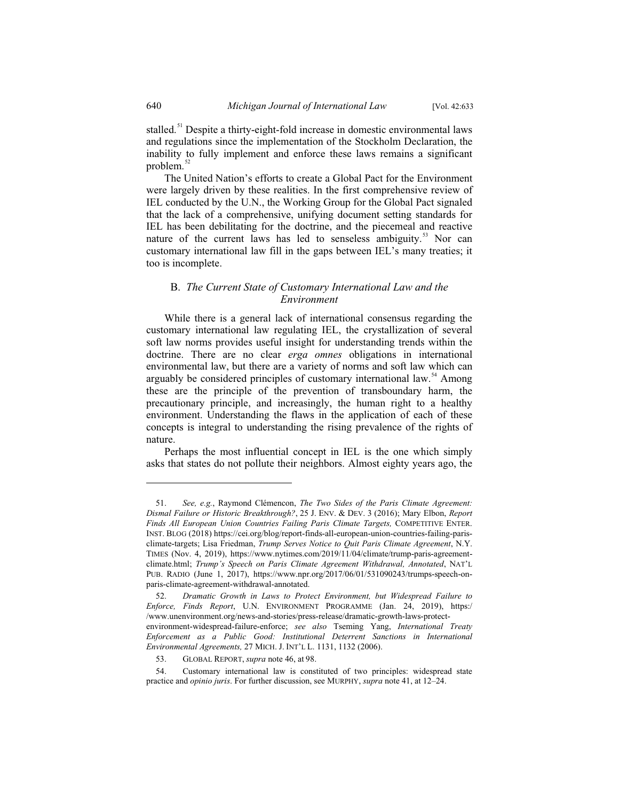stalled.<sup>51</sup> Despite a thirty-eight-fold increase in domestic environmental laws and regulations since the implementation of the Stockholm Declaration, the inability to fully implement and enforce these laws remains a significant problem. $52$ 

The United Nation's efforts to create a Global Pact for the Environment were largely driven by these realities. In the first comprehensive review of IEL conducted by the U.N., the Working Group for the Global Pact signaled that the lack of a comprehensive, unifying document setting standards for IEL has been debilitating for the doctrine, and the piecemeal and reactive nature of the current laws has led to senseless ambiguity.<sup>53</sup> Nor can customary international law fill in the gaps between IEL's many treaties; it too is incomplete.

#### B. *The Current State of Customary International Law and the Environment*

While there is a general lack of international consensus regarding the customary international law regulating IEL, the crystallization of several soft law norms provides useful insight for understanding trends within the doctrine. There are no clear *erga omnes* obligations in international environmental law, but there are a variety of norms and soft law which can arguably be considered principles of customary international law.<sup>54</sup> Among these are the principle of the prevention of transboundary harm, the precautionary principle, and increasingly, the human right to a healthy environment. Understanding the flaws in the application of each of these concepts is integral to understanding the rising prevalence of the rights of nature.

Perhaps the most influential concept in IEL is the one which simply asks that states do not pollute their neighbors. Almost eighty years ago, the

 <sup>51.</sup> *See, e.g.*, Raymond Clémencon, *The Two Sides of the Paris Climate Agreement: Dismal Failure or Historic Breakthrough?*, 25 J. ENV. & DEV. 3 (2016); Mary Elbon, *Report*  Finds All European Union Countries Failing Paris Climate Targets, COMPETITIVE ENTER. INST. BLOG (2018) https://cei.org/blog/report-finds-all-european-union-countries-failing-parisclimate-targets; Lisa Friedman, *Trump Serves Notice to Quit Paris Climate Agreement*, N.Y. TIMES (Nov. 4, 2019), https://www.nytimes.com/2019/11/04/climate/trump-paris-agreementclimate.html; *Trump's Speech on Paris Climate Agreement Withdrawal, Annotated*, NAT'L PUB. RADIO (June 1, 2017), https://www.npr.org/2017/06/01/531090243/trumps-speech-onparis-climate-agreement-withdrawal-annotated.

 <sup>52.</sup> *Dramatic Growth in Laws to Protect Environment, but Widespread Failure to Enforce, Finds Report*, U.N. ENVIRONMENT PROGRAMME (Jan. 24, 2019), https:/ /www.unenvironment.org/news-and-stories/press-release/dramatic-growth-laws-protectenvironment-widespread-failure-enforce; *see also* Tseming Yang, *International Treaty Enforcement as a Public Good: Institutional Deterrent Sanctions in International Environmental Agreements,* 27 MICH. J. INT'L L. 1131, 1132 (2006).

 <sup>53.</sup> GLOBAL REPORT, *supra* note 46, at 98.

 <sup>54.</sup> Customary international law is constituted of two principles: widespread state practice and *opinio juris*. For further discussion, see MURPHY, *supra* note 41, at 12–24.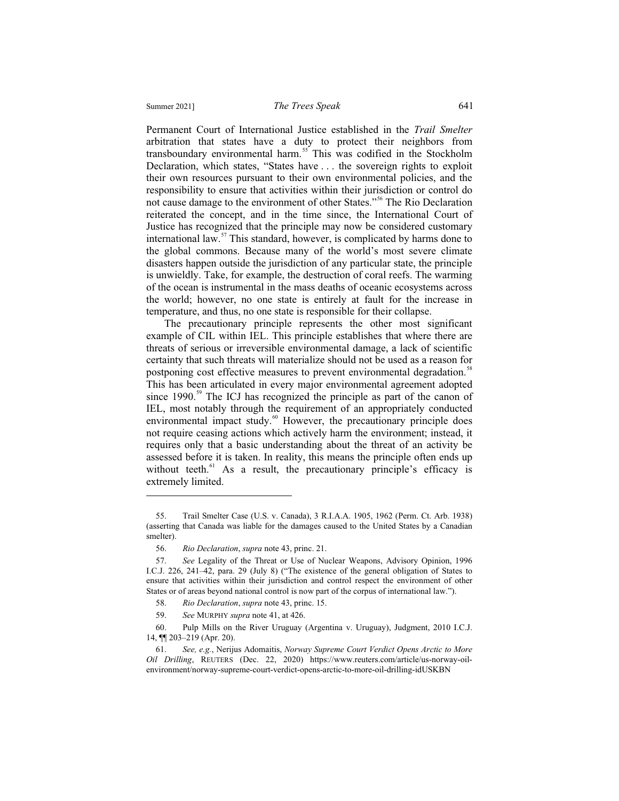Permanent Court of International Justice established in the *Trail Smelter*  arbitration that states have a duty to protect their neighbors from transboundary environmental harm.<sup>55</sup> This was codified in the Stockholm Declaration, which states, "States have . . . the sovereign rights to exploit their own resources pursuant to their own environmental policies, and the responsibility to ensure that activities within their jurisdiction or control do not cause damage to the environment of other States."<sup>56</sup> The Rio Declaration reiterated the concept, and in the time since, the International Court of Justice has recognized that the principle may now be considered customary international law. $57$  This standard, however, is complicated by harms done to

the global commons. Because many of the world's most severe climate disasters happen outside the jurisdiction of any particular state, the principle is unwieldly. Take, for example, the destruction of coral reefs. The warming of the ocean is instrumental in the mass deaths of oceanic ecosystems across the world; however, no one state is entirely at fault for the increase in temperature, and thus, no one state is responsible for their collapse.

The precautionary principle represents the other most significant example of CIL within IEL. This principle establishes that where there are threats of serious or irreversible environmental damage, a lack of scientific certainty that such threats will materialize should not be used as a reason for postponing cost effective measures to prevent environmental degradation.<sup>58</sup> This has been articulated in every major environmental agreement adopted since 1990.<sup>59</sup> The ICJ has recognized the principle as part of the canon of IEL, most notably through the requirement of an appropriately conducted environmental impact study.<sup>60</sup> However, the precautionary principle does not require ceasing actions which actively harm the environment; instead, it requires only that a basic understanding about the threat of an activity be assessed before it is taken. In reality, this means the principle often ends up without teeth. $61$  As a result, the precautionary principle's efficacy is extremely limited.

<sup>55.</sup> Trail Smelter Case (U.S. v. Canada), 3 R.I.A.A. 1905, 1962 (Perm. Ct. Arb. 1938) (asserting that Canada was liable for the damages caused to the United States by a Canadian smelter).

<sup>56.</sup> *Rio Declaration*, *supra* note 43, princ. 21.

<sup>57.</sup> *See* Legality of the Threat or Use of Nuclear Weapons, Advisory Opinion, 1996 I.C.J. 226, 241–42, para. 29 (July 8) ("The existence of the general obligation of States to ensure that activities within their jurisdiction and control respect the environment of other States or of areas beyond national control is now part of the corpus of international law.").

<sup>58.</sup> *Rio Declaration*, *supra* note 43, princ. 15.

<sup>59.</sup> *See* MURPHY *supra* note 41, at 426.

<sup>60.</sup> Pulp Mills on the River Uruguay (Argentina v. Uruguay), Judgment, 2010 I.C.J. 14, ¶¶ 203–219 (Apr. 20).

<sup>61.</sup> *See, e.g.*, Nerijus Adomaitis, *Norway Supreme Court Verdict Opens Arctic to More Oil Drilling*, REUTERS (Dec. 22, 2020) https://www.reuters.com/article/us-norway-oilenvironment/norway-supreme-court-verdict-opens-arctic-to-more-oil-drilling-idUSKBN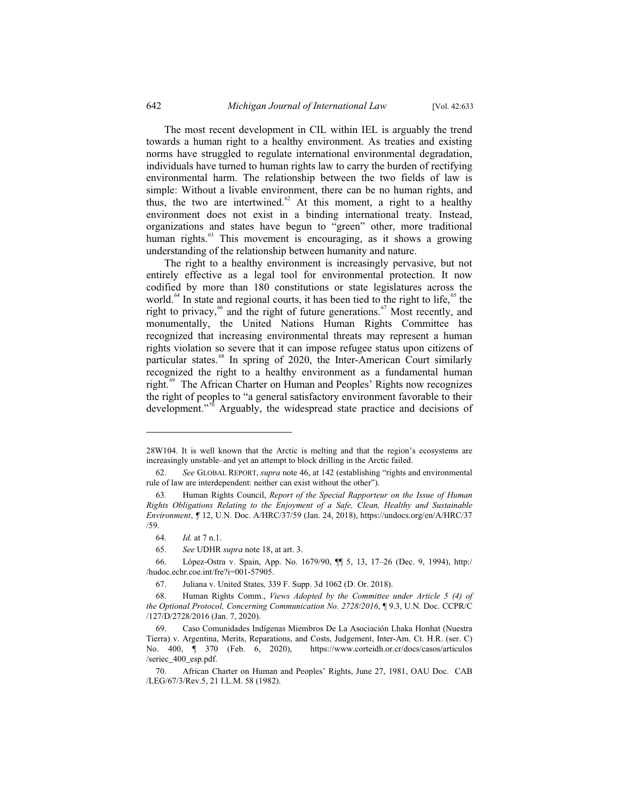The most recent development in CIL within IEL is arguably the trend towards a human right to a healthy environment. As treaties and existing norms have struggled to regulate international environmental degradation, individuals have turned to human rights law to carry the burden of rectifying environmental harm. The relationship between the two fields of law is simple: Without a livable environment, there can be no human rights, and thus, the two are intertwined. $62$  At this moment, a right to a healthy environment does not exist in a binding international treaty. Instead, organizations and states have begun to "green" other, more traditional human rights.<sup>63</sup> This movement is encouraging, as it shows a growing understanding of the relationship between humanity and nature.

The right to a healthy environment is increasingly pervasive, but not entirely effective as a legal tool for environmental protection. It now codified by more than 180 constitutions or state legislatures across the world.<sup>64</sup> In state and regional courts, it has been tied to the right to life,  $65$  the right to privacy,<sup>66</sup> and the right of future generations.<sup>67</sup> Most recently, and monumentally, the United Nations Human Rights Committee has recognized that increasing environmental threats may represent a human rights violation so severe that it can impose refugee status upon citizens of particular states.<sup>68</sup> In spring of 2020, the Inter-American Court similarly recognized the right to a healthy environment as a fundamental human right.<sup>69</sup> The African Charter on Human and Peoples' Rights now recognizes the right of peoples to "a general satisfactory environment favorable to their development."<sup>70</sup> Arguably, the widespread state practice and decisions of

<sup>28</sup>W104. It is well known that the Arctic is melting and that the region's ecosystems are increasingly unstable–and yet an attempt to block drilling in the Arctic failed.

 <sup>62.</sup> *See* GLOBAL REPORT, *supra* note 46, at 142 (establishing "rights and environmental rule of law are interdependent: neither can exist without the other").

<sup>63</sup>*.* Human Rights Council, *Report of the Special Rapporteur on the Issue of Human Rights Obligations Relating to the Enjoyment of a Safe, Clean, Healthy and Sustainable Environment*, *¶* 12, U.N. Doc. A/HRC/37/59 (Jan. 24, 2018), https://undocs.org/en/A/HRC/37 /59.

 <sup>64.</sup> *Id.* at 7 n.1.

 <sup>65.</sup> *See* UDHR *supra* note 18, at art. 3.

 <sup>66.</sup> López-Ostra v. Spain, App. No. 1679/90, ¶¶ 5, 13, 17–26 (Dec. 9, 1994), http:/ /hudoc.echr.coe.int/fre?i=001-57905.

 <sup>67.</sup> Juliana v. United States*,* 339 F. Supp. 3d 1062 (D. Or. 2018).

 <sup>68.</sup> Human Rights Comm., *Views Adopted by the Committee under Article 5 (4) of the Optional Protocol, Concerning Communication No. 2728/2016*, ¶ 9.3, U.N. Doc. CCPR/C /127/D/2728/2016 (Jan. 7, 2020).

 <sup>69.</sup> Caso Comunidades Indígenas Miembros De La Asociación Lhaka Honhat (Nuestra Tierra) v. Argentina, Merits, Reparations, and Costs, Judgement, Inter-Am. Ct. H.R. (ser. C) No. 400, ¶ 370 (Feb. 6, 2020), https://www.corteidh.or.cr/docs/casos/articulos /seriec\_400\_esp.pdf.

 <sup>70.</sup> African Charter on Human and Peoples' Rights, June 27, 1981, OAU Doc. CAB /LEG/67/3/Rev.5, 21 I.L.M. 58 (1982).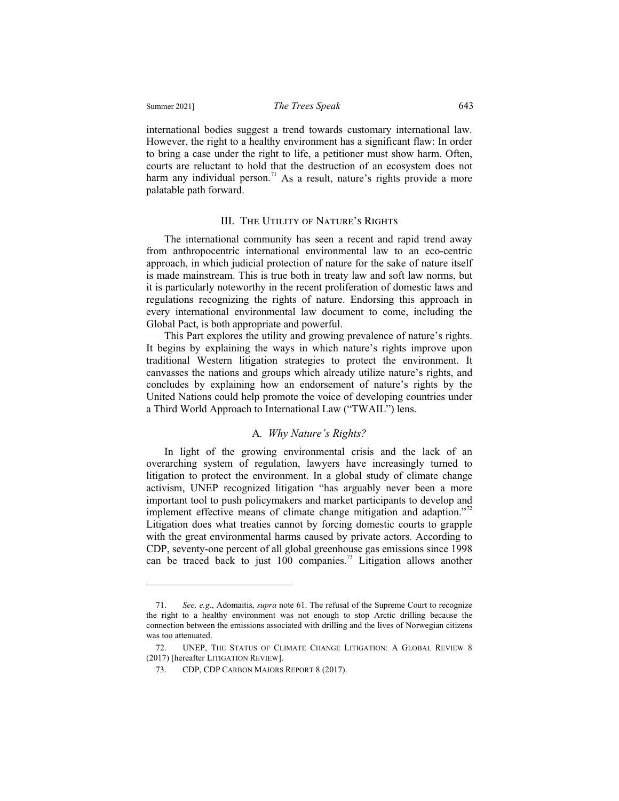international bodies suggest a trend towards customary international law. However, the right to a healthy environment has a significant flaw: In order to bring a case under the right to life, a petitioner must show harm. Often, courts are reluctant to hold that the destruction of an ecosystem does not harm any individual person.<sup>71</sup> As a result, nature's rights provide a more palatable path forward.

#### III. The Utility of Nature's Rights

The international community has seen a recent and rapid trend away from anthropocentric international environmental law to an eco-centric approach, in which judicial protection of nature for the sake of nature itself is made mainstream. This is true both in treaty law and soft law norms, but it is particularly noteworthy in the recent proliferation of domestic laws and regulations recognizing the rights of nature. Endorsing this approach in every international environmental law document to come, including the Global Pact, is both appropriate and powerful.

This Part explores the utility and growing prevalence of nature's rights. It begins by explaining the ways in which nature's rights improve upon traditional Western litigation strategies to protect the environment. It canvasses the nations and groups which already utilize nature's rights, and concludes by explaining how an endorsement of nature's rights by the United Nations could help promote the voice of developing countries under a Third World Approach to International Law ("TWAIL") lens.

#### A*. Why Nature's Rights?*

In light of the growing environmental crisis and the lack of an overarching system of regulation, lawyers have increasingly turned to litigation to protect the environment. In a global study of climate change activism, UNEP recognized litigation "has arguably never been a more important tool to push policymakers and market participants to develop and implement effective means of climate change mitigation and adaption."<sup>72</sup> Litigation does what treaties cannot by forcing domestic courts to grapple with the great environmental harms caused by private actors. According to CDP, seventy-one percent of all global greenhouse gas emissions since 1998 can be traced back to just  $100$  companies.<sup>73</sup> Litigation allows another

<sup>71.</sup> *See, e.g*., Adomaitis, *supra* note 61. The refusal of the Supreme Court to recognize the right to a healthy environment was not enough to stop Arctic drilling because the connection between the emissions associated with drilling and the lives of Norwegian citizens was too attenuated.

<sup>72.</sup> UNEP, THE STATUS OF CLIMATE CHANGE LITIGATION: A GLOBAL REVIEW 8 (2017) [hereafter LITIGATION REVIEW].

<sup>73.</sup> CDP, CDP CARBON MAJORS REPORT 8 (2017).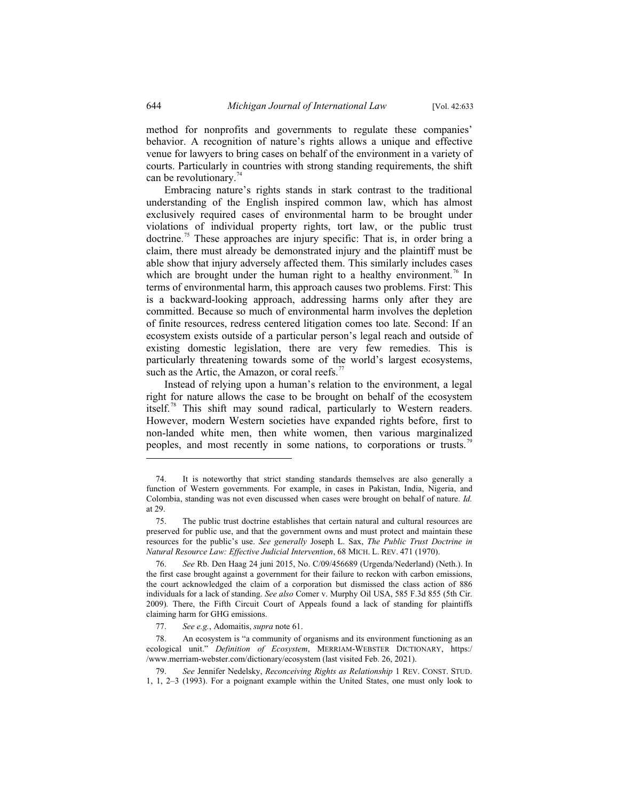method for nonprofits and governments to regulate these companies' behavior. A recognition of nature's rights allows a unique and effective venue for lawyers to bring cases on behalf of the environment in a variety of courts. Particularly in countries with strong standing requirements, the shift can be revolutionary.<sup>74</sup>

Embracing nature's rights stands in stark contrast to the traditional understanding of the English inspired common law, which has almost exclusively required cases of environmental harm to be brought under violations of individual property rights, tort law, or the public trust doctrine.<sup>75</sup> These approaches are injury specific: That is, in order bring a claim, there must already be demonstrated injury and the plaintiff must be able show that injury adversely affected them. This similarly includes cases which are brought under the human right to a healthy environment.<sup>76</sup> In terms of environmental harm, this approach causes two problems. First: This is a backward-looking approach, addressing harms only after they are committed. Because so much of environmental harm involves the depletion of finite resources, redress centered litigation comes too late. Second: If an ecosystem exists outside of a particular person's legal reach and outside of existing domestic legislation, there are very few remedies. This is particularly threatening towards some of the world's largest ecosystems, such as the Artic, the Amazon, or coral reefs.<sup>7</sup>

Instead of relying upon a human's relation to the environment, a legal right for nature allows the case to be brought on behalf of the ecosystem itself.<sup>78</sup> This shift may sound radical, particularly to Western readers. However, modern Western societies have expanded rights before, first to non-landed white men, then white women, then various marginalized peoples, and most recently in some nations, to corporations or trusts.<sup>79</sup>

 <sup>74.</sup> It is noteworthy that strict standing standards themselves are also generally a function of Western governments. For example, in cases in Pakistan, India, Nigeria, and Colombia, standing was not even discussed when cases were brought on behalf of nature. *Id.* at 29.

 <sup>75.</sup> The public trust doctrine establishes that certain natural and cultural resources are preserved for public use, and that the government owns and must protect and maintain these resources for the public's use. *See generally* Joseph L. Sax, *The Public Trust Doctrine in Natural Resource Law: Effective Judicial Intervention*, 68 MICH. L. REV. 471 (1970).

 <sup>76.</sup> *See* Rb. Den Haag 24 juni 2015, No. C/09/456689 (Urgenda/Nederland) (Neth.). In the first case brought against a government for their failure to reckon with carbon emissions, the court acknowledged the claim of a corporation but dismissed the class action of 886 individuals for a lack of standing. *See also* Comer v. Murphy Oil USA, 585 F.3d 855 (5th Cir. 2009)*.* There, the Fifth Circuit Court of Appeals found a lack of standing for plaintiffs claiming harm for GHG emissions.

 <sup>77.</sup> *See e.g.*, Adomaitis, *supra* note 61.

 <sup>78.</sup> An ecosystem is "a community of organisms and its environment functioning as an ecological unit." *Definition of Ecosystem*, MERRIAM-WEBSTER DICTIONARY, https:/ /www.merriam-webster.com/dictionary/ecosystem (last visited Feb. 26, 2021).

 <sup>79.</sup> *See* Jennifer Nedelsky, *Reconceiving Rights as Relationship* 1 REV. CONST. STUD. 1, 1, 2–3 (1993). For a poignant example within the United States, one must only look to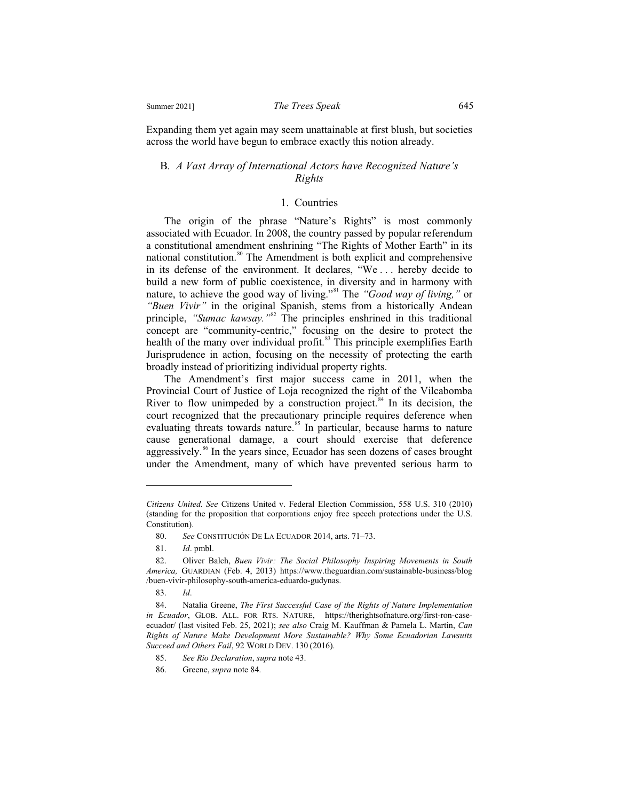Expanding them yet again may seem unattainable at first blush, but societies across the world have begun to embrace exactly this notion already.

#### B*. A Vast Array of International Actors have Recognized Nature's Rights*

### 1. Countries

The origin of the phrase "Nature's Rights" is most commonly associated with Ecuador. In 2008, the country passed by popular referendum a constitutional amendment enshrining "The Rights of Mother Earth" in its national constitution.<sup>80</sup> The Amendment is both explicit and comprehensive in its defense of the environment. It declares, "We . . . hereby decide to build a new form of public coexistence, in diversity and in harmony with nature, to achieve the good way of living."81 The *"Good way of living,"* or *"Buen Vivir"* in the original Spanish, stems from a historically Andean principle, "Sumac kawsay.<sup>"82</sup> The principles enshrined in this traditional concept are "community-centric," focusing on the desire to protect the health of the many over individual profit.<sup>83</sup> This principle exemplifies Earth Jurisprudence in action, focusing on the necessity of protecting the earth broadly instead of prioritizing individual property rights.

The Amendment's first major success came in 2011, when the Provincial Court of Justice of Loja recognized the right of the Vilcabomba River to flow unimpeded by a construction project.<sup>84</sup> In its decision, the court recognized that the precautionary principle requires deference when evaluating threats towards nature.<sup>85</sup> In particular, because harms to nature cause generational damage, a court should exercise that deference aggressively.<sup>86</sup> In the years since, Ecuador has seen dozens of cases brought under the Amendment, many of which have prevented serious harm to

*Citizens United. See* Citizens United v. Federal Election Commission, 558 U.S. 310 (2010) (standing for the proposition that corporations enjoy free speech protections under the U.S. Constitution).

 <sup>80.</sup> *See* CONSTITUCIÓN DE LA ECUADOR 2014, arts. 71–73.

 <sup>81.</sup> *Id*. pmbl.

 <sup>82.</sup> Oliver Balch, *Buen Vivir: The Social Philosophy Inspiring Movements in South America,* GUARDIAN (Feb. 4, 2013) https://www.theguardian.com/sustainable-business/blog /buen-vivir-philosophy-south-america-eduardo-gudynas.

 <sup>83.</sup> *Id*.

 <sup>84.</sup> Natalia Greene, *The First Successful Case of the Rights of Nature Implementation in Ecuador*, GLOB. ALL. FOR RTS. NATURE, https://therightsofnature.org/first-ron-caseecuador/ (last visited Feb. 25, 2021); *see also* Craig M. Kauffman & Pamela L. Martin, *Can Rights of Nature Make Development More Sustainable? Why Some Ecuadorian Lawsuits Succeed and Others Fail*, 92 WORLD DEV. 130 (2016).

 <sup>85.</sup> *See Rio Declaration*, *supra* note 43.

 <sup>86.</sup> Greene, *supra* note 84.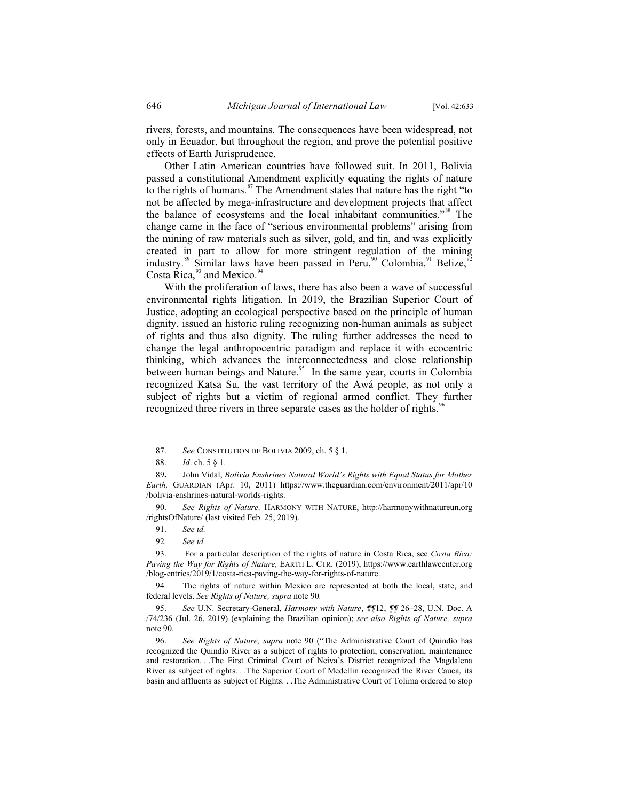rivers, forests, and mountains. The consequences have been widespread, not only in Ecuador, but throughout the region, and prove the potential positive effects of Earth Jurisprudence.

Other Latin American countries have followed suit. In 2011, Bolivia passed a constitutional Amendment explicitly equating the rights of nature to the rights of humans.<sup>87</sup> The Amendment states that nature has the right "to not be affected by mega-infrastructure and development projects that affect the balance of ecosystems and the local inhabitant communities."<sup>88</sup> The change came in the face of "serious environmental problems" arising from the mining of raw materials such as silver, gold, and tin, and was explicitly created in part to allow for more stringent regulation of the mining industry.<sup>89</sup> Similar laws have been passed in Peru,  $^{90}$  Colombia, <sup>91</sup> Belize, Costa Rica, $93$  and Mexico. $94$ 

With the proliferation of laws, there has also been a wave of successful environmental rights litigation. In 2019, the Brazilian Superior Court of Justice, adopting an ecological perspective based on the principle of human dignity, issued an historic ruling recognizing non-human animals as subject of rights and thus also dignity. The ruling further addresses the need to change the legal anthropocentric paradigm and replace it with ecocentric thinking, which advances the interconnectedness and close relationship between human beings and Nature.<sup>95</sup> In the same year, courts in Colombia recognized Katsa Su, the vast territory of the Awá people, as not only a subject of rights but a victim of regional armed conflict. They further recognized three rivers in three separate cases as the holder of rights.<sup>96</sup>

 <sup>87.</sup> *See* CONSTITUTION DE BOLIVIA 2009, ch. 5 § 1.

 <sup>88.</sup> *Id*. ch. 5 § 1.

<sup>89</sup>**.** John Vidal, *Bolivia Enshrines Natural World's Rights with Equal Status for Mother Earth,* GUARDIAN (Apr. 10, 2011) https://www.theguardian.com/environment/2011/apr/10 /bolivia-enshrines-natural-worlds-rights.

 <sup>90.</sup> *See Rights of Nature,* HARMONY WITH NATURE, http://harmonywithnatureun.org /rightsOfNature/ (last visited Feb. 25, 2019).

 <sup>91.</sup> *See id.*

<sup>92</sup>*. See id.*

 <sup>93.</sup> For a particular description of the rights of nature in Costa Rica, see *Costa Rica: Paving the Way for Rights of Nature,* EARTH L. CTR. (2019), https://www.earthlawcenter.org /blog-entries/2019/1/costa-rica-paving-the-way-for-rights-of-nature.

<sup>94</sup>*.* The rights of nature within Mexico are represented at both the local, state, and federal levels. *See Rights of Nature, supra* note 90*.* 

 <sup>95.</sup> *See* U.N. Secretary-General, *Harmony with Nature*, *¶¶*12, *¶¶* 26–28, U.N. Doc. A /74/236 (Jul. 26, 2019) (explaining the Brazilian opinion); *see also Rights of Nature, supra*  note 90.

 <sup>96.</sup> *See Rights of Nature, supra* note 90 ("The Administrative Court of Quindío has recognized the Quindío River as a subject of rights to protection, conservation, maintenance and restoration. . .The First Criminal Court of Neiva's District recognized the Magdalena River as subject of rights. . .The Superior Court of Medellin recognized the River Cauca, its basin and affluents as subject of Rights. . .The Administrative Court of Tolima ordered to stop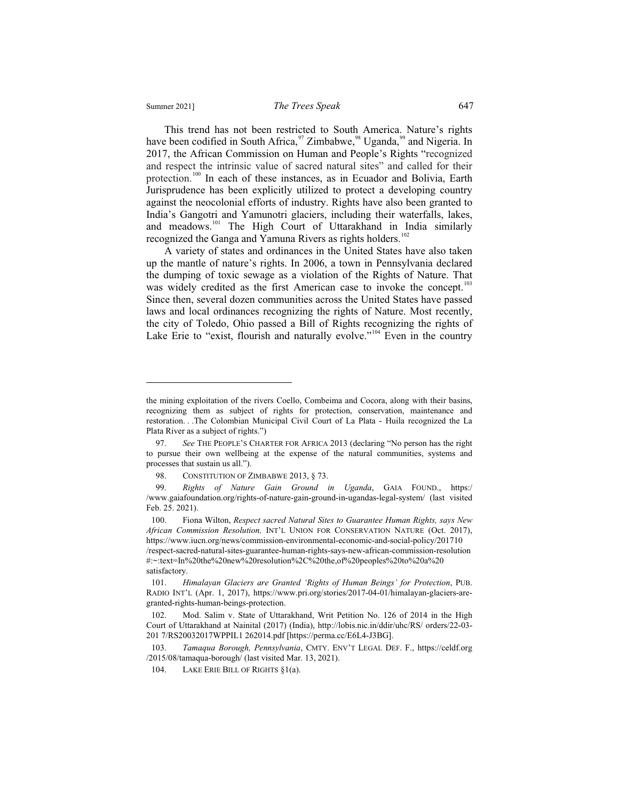$\overline{a}$ 

This trend has not been restricted to South America. Nature's rights have been codified in South Africa,  $\frac{97}{2}$  Zimbabwe,  $\frac{98}{2}$  Uganda,  $\frac{99}{2}$  and Nigeria. In 2017, the African Commission on Human and People's Rights "recognized and respect the intrinsic value of sacred natural sites" and called for their protection.<sup>100</sup> In each of these instances, as in Ecuador and Bolivia, Earth Jurisprudence has been explicitly utilized to protect a developing country against the neocolonial efforts of industry. Rights have also been granted to India's Gangotri and Yamunotri glaciers, including their waterfalls, lakes, and meadows.<sup>101</sup> The High Court of Uttarakhand in India similarly recognized the Ganga and Yamuna Rivers as rights holders.<sup>102</sup>

A variety of states and ordinances in the United States have also taken up the mantle of nature's rights. In 2006, a town in Pennsylvania declared the dumping of toxic sewage as a violation of the Rights of Nature. That was widely credited as the first American case to invoke the concept.<sup>103</sup> Since then, several dozen communities across the United States have passed laws and local ordinances recognizing the rights of Nature. Most recently, the city of Toledo, Ohio passed a Bill of Rights recognizing the rights of Lake Erie to "exist, flourish and naturally evolve."<sup>104</sup> Even in the country

the mining exploitation of the rivers Coello, Combeima and Cocora, along with their basins, recognizing them as subject of rights for protection, conservation, maintenance and restoration. . .The Colombian Municipal Civil Court of La Plata - Huila recognized the La Plata River as a subject of rights.")

 <sup>97.</sup> *See* THE PEOPLE'S CHARTER FOR AFRICA 2013 (declaring "No person has the right to pursue their own wellbeing at the expense of the natural communities, systems and processes that sustain us all.").

<sup>98.</sup> CONSTITUTION OF ZIMBABWE 2013, §73.

 <sup>99.</sup> *Rights of Nature Gain Ground in Uganda*, GAIA FOUND., https:/ /www.gaiafoundation.org/rights-of-nature-gain-ground-in-ugandas-legal-system/ (last visited Feb. 25. 2021).

 <sup>100.</sup> Fiona Wilton, *Respect sacred Natural Sites to Guarantee Human Rights, says New African Commission Resolution,* INT'L UNION FOR CONSERVATION NATURE (Oct. 2017), https://www.iucn.org/news/commission-environmental-economic-and-social-policy/201710 /respect-sacred-natural-sites-guarantee-human-rights-says-new-african-commission-resolution #:~:text=In%20the%20new%20resolution%2C%20the,of%20peoples%20to%20a%20 satisfactory.

 <sup>101.</sup> *Himalayan Glaciers are Granted 'Rights of Human Beings' for Protection*, PUB. RADIO INT'L (Apr. 1, 2017), https://www.pri.org/stories/2017-04-01/himalayan-glaciers-aregranted-rights-human-beings-protection.

 <sup>102.</sup> Mod. Salim v. State of Uttarakhand, Writ Petition No. 126 of 2014 in the High Court of Uttarakhand at Nainital (2017) (India), http://lobis.nic.in/ddir/uhc/RS/ orders/22-03- 201 7/RS20032017WPPIL1 262014.pdf [https://perma.cc/E6L4-J3BG].

 <sup>103.</sup> *Tamaqua Borough, Pennsylvania*, CMTY. ENV'T LEGAL DEF. F., https://celdf.org /2015/08/tamaqua-borough/ (last visited Mar. 13, 2021).

 <sup>104.</sup> LAKE ERIE BILL OF RIGHTS §1(a).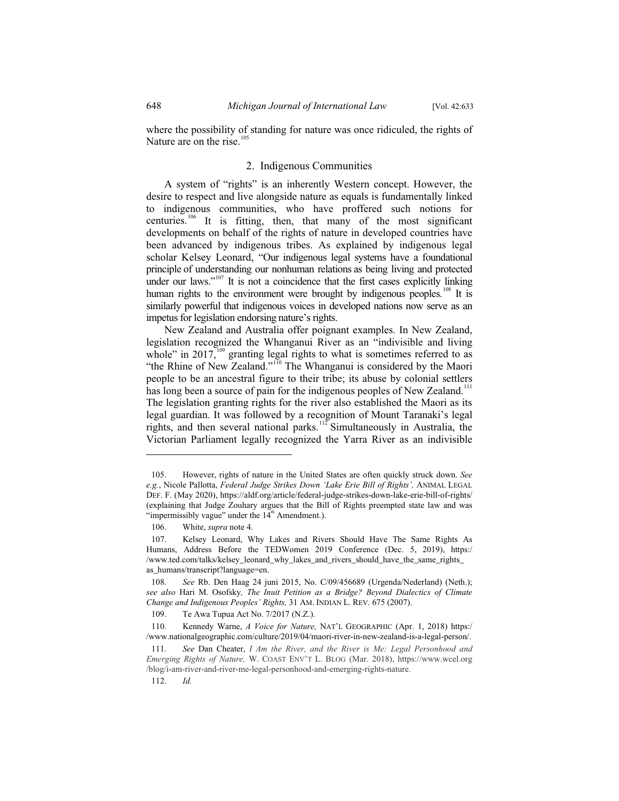where the possibility of standing for nature was once ridiculed, the rights of Nature are on the rise. $105$ 

## 2. Indigenous Communities

A system of "rights" is an inherently Western concept. However, the desire to respect and live alongside nature as equals is fundamentally linked to indigenous communities, who have proffered such notions for centuries.<sup>106</sup> It is fitting, then, that many of the most significant developments on behalf of the rights of nature in developed countries have been advanced by indigenous tribes. As explained by indigenous legal scholar Kelsey Leonard, "Our indigenous legal systems have a foundational principle of understanding our nonhuman relations as being living and protected under our laws." $107$  It is not a coincidence that the first cases explicitly linking human rights to the environment were brought by indigenous peoples.<sup>108</sup> It is similarly powerful that indigenous voices in developed nations now serve as an impetus for legislation endorsing nature's rights.

New Zealand and Australia offer poignant examples. In New Zealand, legislation recognized the Whanganui River as an "indivisible and living whole" in 2017, $\frac{109}{109}$  granting legal rights to what is sometimes referred to as "the Rhine of New Zealand."<sup>110</sup> The Whanganui is considered by the Maori people to be an ancestral figure to their tribe; its abuse by colonial settlers has long been a source of pain for the indigenous peoples of New Zealand.<sup>111</sup> The legislation granting rights for the river also established the Maori as its legal guardian. It was followed by a recognition of Mount Taranaki's legal rights, and then several national parks.<sup>112</sup> Simultaneously in Australia, the Victorian Parliament legally recognized the Yarra River as an indivisible

 <sup>105.</sup> However, rights of nature in the United States are often quickly struck down. *See e.g.*, Nicole Pallotta, *Federal Judge Strikes Down 'Lake Erie Bill of Rights',* ANIMAL LEGAL DEF. F. (May 2020), https://aldf.org/article/federal-judge-strikes-down-lake-erie-bill-of-rights/ (explaining that Judge Zouhary argues that the Bill of Rights preempted state law and was "impermissibly vague" under the  $14<sup>th</sup>$  Amendment.).

 <sup>106.</sup> White, *supra* note 4.

 <sup>107.</sup> Kelsey Leonard, Why Lakes and Rivers Should Have The Same Rights As Humans, Address Before the TEDWomen 2019 Conference (Dec. 5, 2019), https:/ /www.ted.com/talks/kelsey\_leonard\_why\_lakes\_and\_rivers\_should\_have\_the\_same\_rights\_ as\_humans/transcript?language=en.

 <sup>108.</sup> *See* Rb. Den Haag 24 juni 2015, No. C/09/456689 (Urgenda/Nederland) (Neth.); *see also* Hari M. Osofsky*, The Inuit Petition as a Bridge? Beyond Dialectics of Climate Change and Indigenous Peoples' Rights,* 31 AM. INDIAN L. REV. 675 (2007).

 <sup>109.</sup> Te Awa Tupua Act No. 7/2017 (N.Z.).

 <sup>110.</sup> Kennedy Warne, *A Voice for Nature,* NAT'L GEOGRAPHIC (Apr. 1, 2018) https:/ /www.nationalgeographic.com/culture/2019/04/maori-river-in-new-zealand-is-a-legal-person/.

 <sup>111.</sup> *See* Dan Cheater, *I Am the River, and the River is Me: Legal Personhood and Emerging Rights of Nature,* W. COAST ENV'T L. BLOG (Mar. 2018), https://www.wcel.org /blog/i-am-river-and-river-me-legal-personhood-and-emerging-rights-nature.

 <sup>112.</sup> *Id.*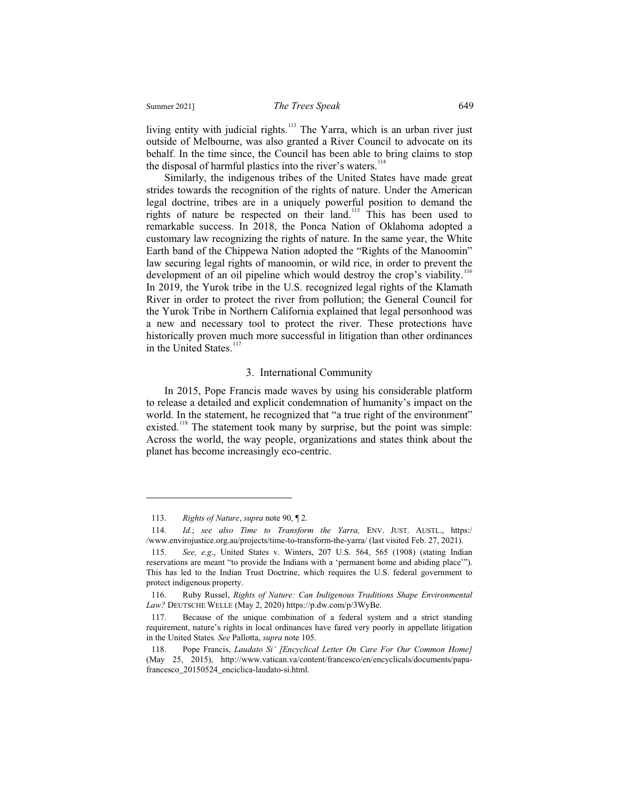living entity with judicial rights.<sup>113</sup> The Yarra, which is an urban river just outside of Melbourne, was also granted a River Council to advocate on its behalf. In the time since, the Council has been able to bring claims to stop the disposal of harmful plastics into the river's waters.<sup>114</sup>

Similarly, the indigenous tribes of the United States have made great strides towards the recognition of the rights of nature. Under the American legal doctrine, tribes are in a uniquely powerful position to demand the rights of nature be respected on their land.<sup>115</sup> This has been used to remarkable success. In 2018, the Ponca Nation of Oklahoma adopted a customary law recognizing the rights of nature. In the same year, the White Earth band of the Chippewa Nation adopted the "Rights of the Manoomin" law securing legal rights of manoomin, or wild rice, in order to prevent the development of an oil pipeline which would destroy the crop's viability.<sup>116</sup> In 2019, the Yurok tribe in the U.S. recognized legal rights of the Klamath River in order to protect the river from pollution; the General Council for the Yurok Tribe in Northern California explained that legal personhood was a new and necessary tool to protect the river. These protections have historically proven much more successful in litigation than other ordinances in the United States. $117$ 

#### 3. International Community

In 2015, Pope Francis made waves by using his considerable platform to release a detailed and explicit condemnation of humanity's impact on the world. In the statement, he recognized that "a true right of the environment" existed.<sup>118</sup> The statement took many by surprise, but the point was simple: Across the world, the way people, organizations and states think about the planet has become increasingly eco-centric.

 <sup>113.</sup> *Rights of Nature*, *supra* note 90, ¶ 2.

 <sup>114.</sup> *Id.*; *see also Time to Transform the Yarra,* ENV. JUST. AUSTL., https:/ /www.envirojustice.org.au/projects/time-to-transform-the-yarra/ (last visited Feb. 27, 2021).

 <sup>115.</sup> *See, e.g*., United States v. Winters, 207 U.S. 564, 565 (1908) (stating Indian reservations are meant "to provide the Indians with a 'permanent home and abiding place'"). This has led to the Indian Trust Doctrine, which requires the U.S. federal government to protect indigenous property.

 <sup>116.</sup> Ruby Russel, *Rights of Nature: Can Indigenous Traditions Shape Environmental Law?* DEUTSCHE WELLE (May 2, 2020) https://p.dw.com/p/3WyBe.

 <sup>117.</sup> Because of the unique combination of a federal system and a strict standing requirement, nature's rights in local ordinances have fared very poorly in appellate litigation in the United States*. See* Pallotta, *supra* note 105.

 <sup>118.</sup> Pope Francis, *Laudato Si' [Encyclical Letter On Care For Our Common Home]* (May 25, 2015), http://www.vatican.va/content/francesco/en/encyclicals/documents/papafrancesco\_20150524\_enciclica-laudato-si.html.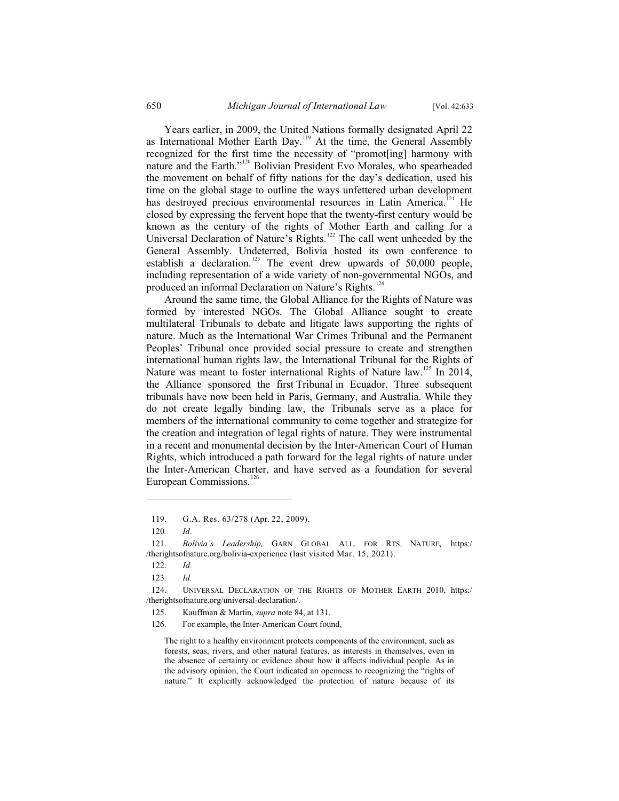Years earlier, in 2009, the United Nations formally designated April 22 as International Mother Earth Day.<sup>119</sup> At the time, the General Assembly recognized for the first time the necessity of "promot[ing] harmony with nature and the Earth."<sup>120</sup> Bolivian President Evo Morales, who spearheaded the movement on behalf of fifty nations for the day's dedication, used his time on the global stage to outline the ways unfettered urban development has destroyed precious environmental resources in Latin America.<sup>121</sup> He closed by expressing the fervent hope that the twenty-first century would be known as the century of the rights of Mother Earth and calling for a Universal Declaration of Nature's Rights.<sup>122</sup> The call went unheeded by the General Assembly. Undeterred, Bolivia hosted its own conference to establish a declaration.<sup>123</sup> The event drew upwards of 50,000 people, including representation of a wide variety of non-governmental NGOs, and produced an informal Declaration on Nature's Rights.<sup>124</sup>

Around the same time, the Global Alliance for the Rights of Nature was formed by interested NGOs. The Global Alliance sought to create multilateral Tribunals to debate and litigate laws supporting the rights of nature. Much as the International War Crimes Tribunal and the Permanent Peoples' Tribunal once provided social pressure to create and strengthen international human rights law, the International Tribunal for the Rights of Nature was meant to foster international Rights of Nature law.<sup>125</sup> In 2014, the Alliance sponsored the first Tribunal in Ecuador. Three subsequent tribunals have now been held in Paris, Germany, and Australia. While they do not create legally binding law, the Tribunals serve as a place for members of the international community to come together and strategize for the creation and integration of legal rights of nature. They were instrumental in a recent and monumental decision by the Inter-American Court of Human Rights, which introduced a path forward for the legal rights of nature under the Inter-American Charter, and have served as a foundation for several European Commissions.<sup>126</sup>

 $\overline{a}$ 

The right to a healthy environment protects components of the environment, such as forests, seas, rivers, and other natural features, as interests in themselves, even in the absence of certainty or evidence about how it affects individual people. As in the advisory opinion, the Court indicated an openness to recognizing the "rights of nature." It explicitly acknowledged the protection of nature because of its

 <sup>119.</sup> G.A. Res. 63/278 (Apr. 22, 2009).

<sup>120</sup>*. Id*.

 <sup>121.</sup> *Bolivia's Leadership,* GARN GLOBAL ALL. FOR RTS. NATURE*,* https:/ /therightsofnature.org/bolivia-experience (last visited Mar. 15, 2021).

 <sup>122.</sup> *Id.* 

<sup>123</sup>*. Id.*

 <sup>124.</sup> UNIVERSAL DECLARATION OF THE RIGHTS OF MOTHER EARTH 2010, https:/ /therightsofnature.org/universal-declaration/.

 <sup>125.</sup> Kauffman & Martin, *supra* note 84, at 131.

 <sup>126.</sup> For example, the Inter-American Court found,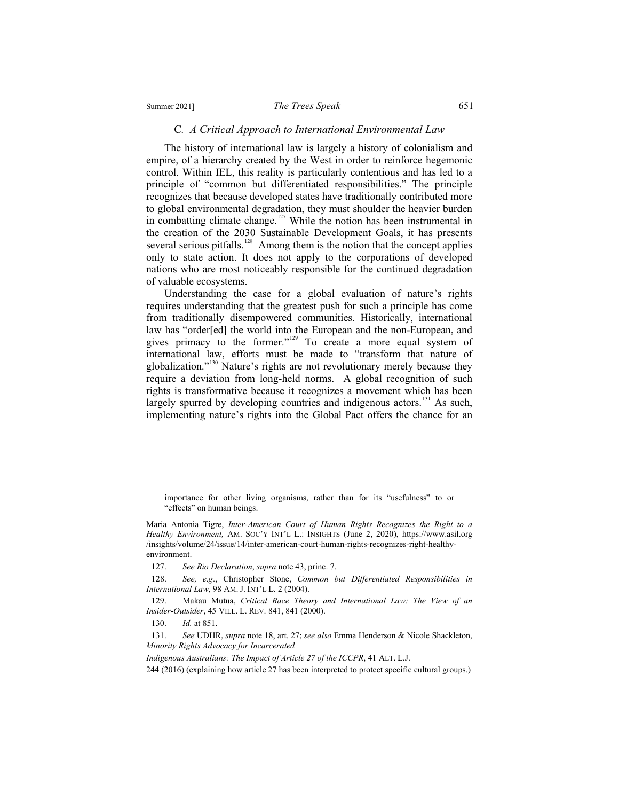#### Summer 2021] *The Trees Speak* 651

#### C*. A Critical Approach to International Environmental Law*

The history of international law is largely a history of colonialism and empire, of a hierarchy created by the West in order to reinforce hegemonic control. Within IEL, this reality is particularly contentious and has led to a principle of "common but differentiated responsibilities." The principle recognizes that because developed states have traditionally contributed more to global environmental degradation, they must shoulder the heavier burden in combatting climate change.<sup>127</sup> While the notion has been instrumental in the creation of the 2030 Sustainable Development Goals, it has presents several serious pitfalls.<sup>128</sup> Among them is the notion that the concept applies only to state action. It does not apply to the corporations of developed nations who are most noticeably responsible for the continued degradation of valuable ecosystems.

Understanding the case for a global evaluation of nature's rights requires understanding that the greatest push for such a principle has come from traditionally disempowered communities. Historically, international law has "order[ed] the world into the European and the non-European, and gives primacy to the former."<sup>129</sup> To create a more equal system of international law, efforts must be made to "transform that nature of globalization."130 Nature's rights are not revolutionary merely because they require a deviation from long-held norms. A global recognition of such rights is transformative because it recognizes a movement which has been largely spurred by developing countries and indigenous actors.<sup>131</sup> As such, implementing nature's rights into the Global Pact offers the chance for an

 $\overline{a}$ 

*Indigenous Australians: The Impact of Article 27 of the ICCPR*, 41 ALT. L.J.

importance for other living organisms, rather than for its "usefulness" to or "effects" on human beings.

Maria Antonia Tigre, *Inter-American Court of Human Rights Recognizes the Right to a Healthy Environment,* AM. SOC'Y INT'L L.: INSIGHTS (June 2, 2020), https://www.asil.org /insights/volume/24/issue/14/inter-american-court-human-rights-recognizes-right-healthyenvironment.

 <sup>127.</sup> *See Rio Declaration*, *supra* note 43, princ. 7.

 <sup>128.</sup> *See, e.g*., Christopher Stone, *Common but Differentiated Responsibilities in International Law*, 98 AM. J. INT'L L. 2 (2004).

 <sup>129.</sup> Makau Mutua, *Critical Race Theory and International Law: The View of an Insider-Outsider*, 45 VILL. L. REV. 841, 841 (2000).

 <sup>130.</sup> *Id.* at 851.

 <sup>131.</sup> *See* UDHR, *supra* note 18, art. 27; *see also* Emma Henderson & Nicole Shackleton, *Minority Rights Advocacy for Incarcerated* 

<sup>244 (2016) (</sup>explaining how article 27 has been interpreted to protect specific cultural groups.)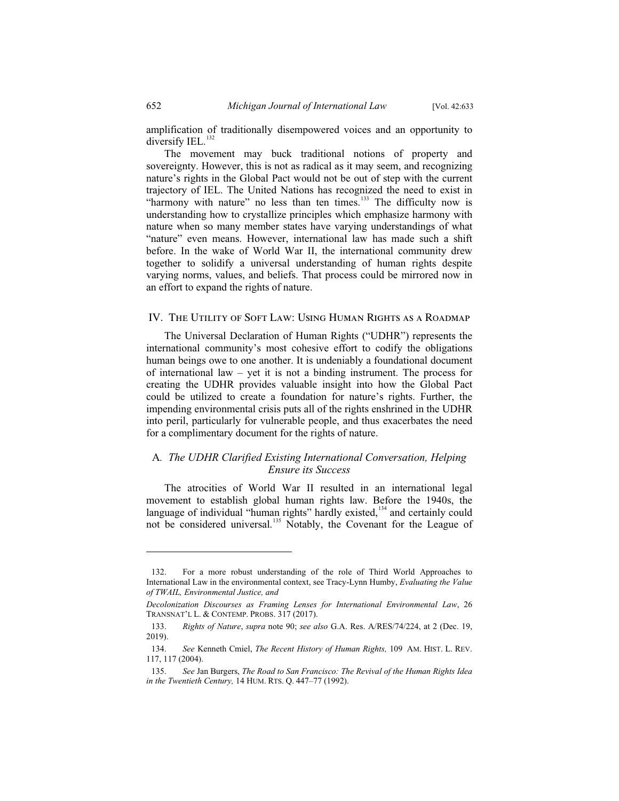amplification of traditionally disempowered voices and an opportunity to diversify IEL. $^{132}$ 

The movement may buck traditional notions of property and sovereignty. However, this is not as radical as it may seem, and recognizing nature's rights in the Global Pact would not be out of step with the current trajectory of IEL. The United Nations has recognized the need to exist in "harmony with nature" no less than ten times.<sup>133</sup> The difficulty now is understanding how to crystallize principles which emphasize harmony with nature when so many member states have varying understandings of what "nature" even means. However, international law has made such a shift before. In the wake of World War II, the international community drew together to solidify a universal understanding of human rights despite varying norms, values, and beliefs. That process could be mirrored now in an effort to expand the rights of nature.

#### IV. The Utility of Soft Law: Using Human Rights as a Roadmap

The Universal Declaration of Human Rights ("UDHR") represents the international community's most cohesive effort to codify the obligations human beings owe to one another. It is undeniably a foundational document of international law – yet it is not a binding instrument. The process for creating the UDHR provides valuable insight into how the Global Pact could be utilized to create a foundation for nature's rights. Further, the impending environmental crisis puts all of the rights enshrined in the UDHR into peril, particularly for vulnerable people, and thus exacerbates the need for a complimentary document for the rights of nature.

## A*. The UDHR Clarified Existing International Conversation, Helping Ensure its Success*

The atrocities of World War II resulted in an international legal movement to establish global human rights law. Before the 1940s, the language of individual "human rights" hardly existed,<sup>134</sup> and certainly could not be considered universal.<sup>135</sup> Notably, the Covenant for the League of

 <sup>132.</sup> For a more robust understanding of the role of Third World Approaches to International Law in the environmental context, see Tracy-Lynn Humby, *Evaluating the Value of TWAIL, Environmental Justice, and* 

*Decolonization Discourses as Framing Lenses for International Environmental Law*, 26 TRANSNAT'L L. & CONTEMP. PROBS. 317 (2017).

 <sup>133.</sup> *Rights of Nature*, *supra* note 90; *see also* G.A. Res. A/RES/74/224, at 2 (Dec. 19, 2019).

 <sup>134.</sup> *See* Kenneth Cmiel, *The Recent History of Human Rights,* 109 AM. HIST. L. REV. 117, 117 (2004).

 <sup>135.</sup> *See* Jan Burgers, *The Road to San Francisco: The Revival of the Human Rights Idea in the Twentieth Century,* 14 HUM. RTS. Q. 447–77 (1992).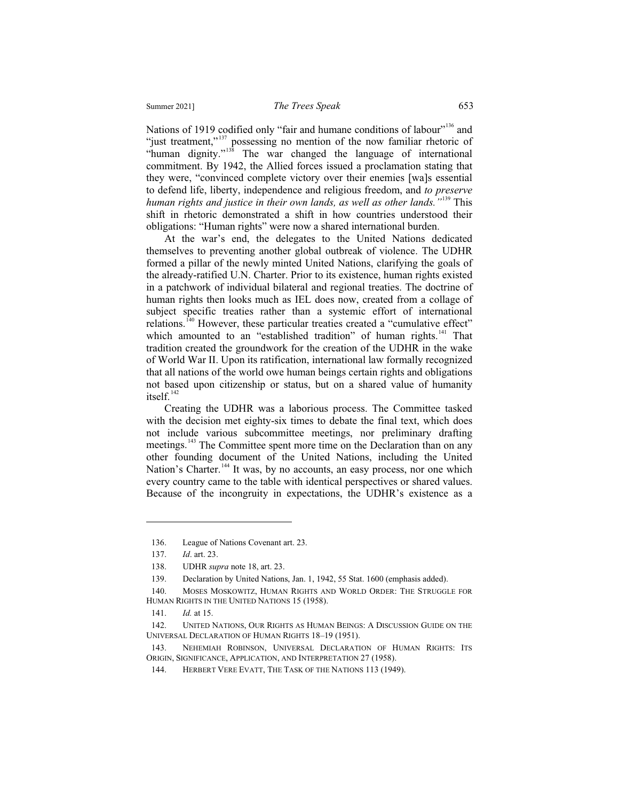Nations of 1919 codified only "fair and humane conditions of labour"<sup>136</sup> and "just treatment,"<sup>137</sup> possessing no mention of the now familiar rhetoric of "human dignity."<sup>138</sup> The war changed the language of international commitment. By 1942, the Allied forces issued a proclamation stating that they were, "convinced complete victory over their enemies [wa]s essential to defend life, liberty, independence and religious freedom, and *to preserve human rights and justice in their own lands, as well as other lands."*<sup>139</sup> This shift in rhetoric demonstrated a shift in how countries understood their obligations: "Human rights" were now a shared international burden.

At the war's end, the delegates to the United Nations dedicated themselves to preventing another global outbreak of violence. The UDHR formed a pillar of the newly minted United Nations, clarifying the goals of the already-ratified U.N. Charter. Prior to its existence, human rights existed in a patchwork of individual bilateral and regional treaties. The doctrine of human rights then looks much as IEL does now, created from a collage of subject specific treaties rather than a systemic effort of international relations.<sup>140</sup> However, these particular treaties created a "cumulative effect" which amounted to an "established tradition" of human rights. $141$  That tradition created the groundwork for the creation of the UDHR in the wake of World War II. Upon its ratification, international law formally recognized that all nations of the world owe human beings certain rights and obligations not based upon citizenship or status, but on a shared value of humanity itself. $142$ 

Creating the UDHR was a laborious process. The Committee tasked with the decision met eighty-six times to debate the final text, which does not include various subcommittee meetings, nor preliminary drafting meetings.<sup>143</sup> The Committee spent more time on the Declaration than on any other founding document of the United Nations, including the United Nation's Charter.<sup>144</sup> It was, by no accounts, an easy process, nor one which every country came to the table with identical perspectives or shared values. Because of the incongruity in expectations, the UDHR's existence as a

<sup>136.</sup> League of Nations Covenant art. 23.

<sup>137.</sup> *Id*. art. 23.

<sup>138.</sup> UDHR *supra* note 18, art. 23.

<sup>139.</sup> Declaration by United Nations, Jan. 1, 1942, 55 Stat. 1600 (emphasis added).

<sup>140.</sup> MOSES MOSKOWITZ, HUMAN RIGHTS AND WORLD ORDER: THE STRUGGLE FOR HUMAN RIGHTS IN THE UNITED NATIONS 15 (1958).

<sup>141.</sup> *Id.* at 15.

<sup>142.</sup> UNITED NATIONS, OUR RIGHTS AS HUMAN BEINGS: A DISCUSSION GUIDE ON THE UNIVERSAL DECLARATION OF HUMAN RIGHTS 18–19 (1951).

<sup>143.</sup> NEHEMIAH ROBINSON, UNIVERSAL DECLARATION OF HUMAN RIGHTS: ITS ORIGIN, SIGNIFICANCE, APPLICATION, AND INTERPRETATION 27 (1958).

<sup>144.</sup> HERBERT VERE EVATT, THE TASK OF THE NATIONS 113 (1949).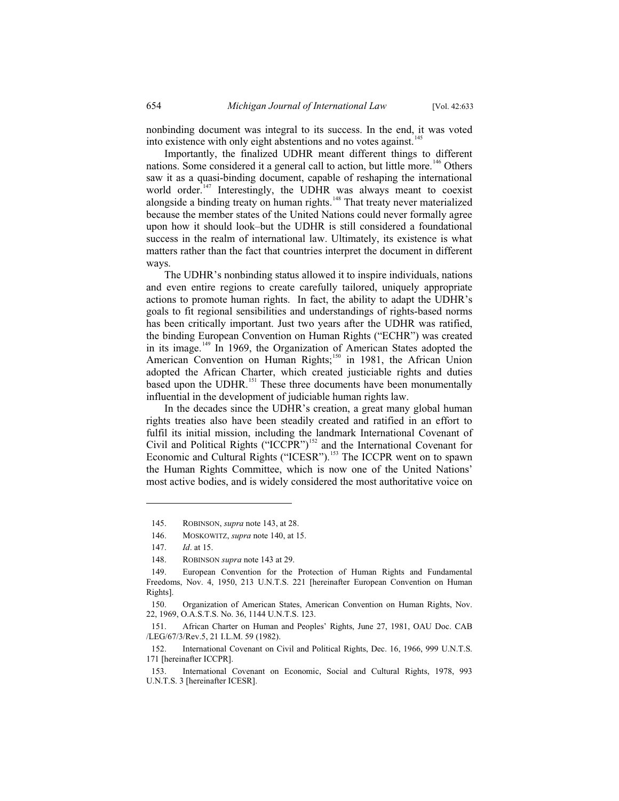nonbinding document was integral to its success. In the end, it was voted into existence with only eight abstentions and no votes against.<sup>145</sup>

Importantly, the finalized UDHR meant different things to different nations. Some considered it a general call to action, but little more.<sup>146</sup> Others saw it as a quasi-binding document, capable of reshaping the international world order.<sup>147</sup> Interestingly, the UDHR was always meant to coexist alongside a binding treaty on human rights.<sup>148</sup> That treaty never materialized because the member states of the United Nations could never formally agree upon how it should look–but the UDHR is still considered a foundational success in the realm of international law. Ultimately, its existence is what matters rather than the fact that countries interpret the document in different ways.

The UDHR's nonbinding status allowed it to inspire individuals, nations and even entire regions to create carefully tailored, uniquely appropriate actions to promote human rights. In fact, the ability to adapt the UDHR's goals to fit regional sensibilities and understandings of rights-based norms has been critically important. Just two years after the UDHR was ratified, the binding European Convention on Human Rights ("ECHR") was created in its image.<sup>149</sup> In 1969, the Organization of American States adopted the American Convention on Human Rights;<sup>150</sup> in 1981, the African Union adopted the African Charter, which created justiciable rights and duties based upon the UDHR.<sup>151</sup> These three documents have been monumentally influential in the development of judiciable human rights law.

In the decades since the UDHR's creation, a great many global human rights treaties also have been steadily created and ratified in an effort to fulfil its initial mission, including the landmark International Covenant of Civil and Political Rights ("ICCPR")<sup>152</sup> and the International Covenant for Economic and Cultural Rights ("ICESR").<sup>153</sup> The ICCPR went on to spawn the Human Rights Committee, which is now one of the United Nations' most active bodies, and is widely considered the most authoritative voice on

 <sup>145.</sup> ROBINSON, *supra* note 143, at 28.

 <sup>146.</sup> MOSKOWITZ, *supra* note 140, at 15.

 <sup>147.</sup> *Id*. at 15.

 <sup>148.</sup> ROBINSON *supra* note 143 at 29.

 <sup>149.</sup> European Convention for the Protection of Human Rights and Fundamental Freedoms, Nov. 4, 1950, 213 U.N.T.S. 221 [hereinafter European Convention on Human Rights].

 <sup>150.</sup> Organization of American States, American Convention on Human Rights, Nov. 22, 1969, O.A.S.T.S. No. 36, 1144 U.N.T.S. 123.

 <sup>151.</sup> African Charter on Human and Peoples' Rights, June 27, 1981, OAU Doc. CAB /LEG/67/3/Rev.5, 21 I.L.M. 59 (1982).

 <sup>152.</sup> International Covenant on Civil and Political Rights, Dec. 16, 1966, 999 U.N.T.S. 171 [hereinafter ICCPR].

 <sup>153.</sup> International Covenant on Economic, Social and Cultural Rights, 1978, 993 U.N.T.S. 3 [hereinafter ICESR].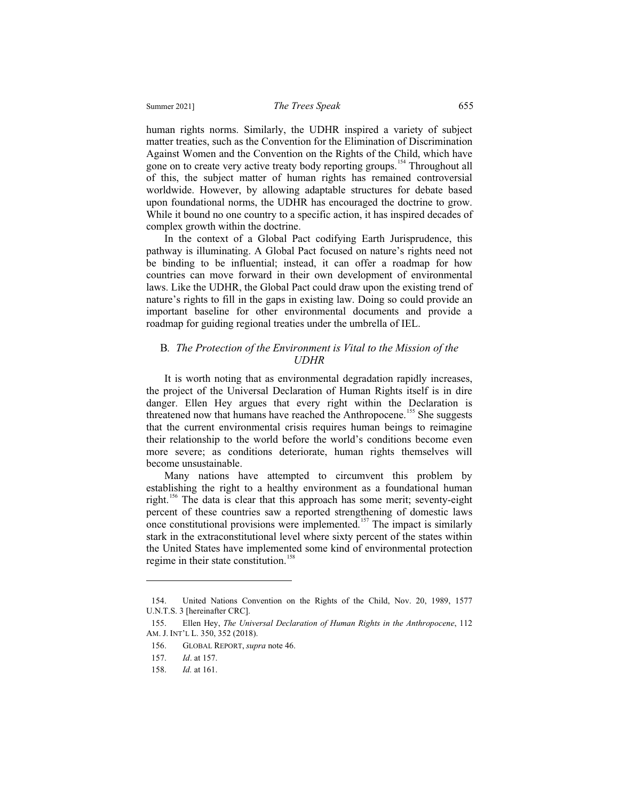human rights norms. Similarly, the UDHR inspired a variety of subject matter treaties, such as the Convention for the Elimination of Discrimination Against Women and the Convention on the Rights of the Child, which have gone on to create very active treaty body reporting groups.<sup>154</sup> Throughout all of this, the subject matter of human rights has remained controversial worldwide. However, by allowing adaptable structures for debate based upon foundational norms, the UDHR has encouraged the doctrine to grow. While it bound no one country to a specific action, it has inspired decades of complex growth within the doctrine.

In the context of a Global Pact codifying Earth Jurisprudence, this pathway is illuminating. A Global Pact focused on nature's rights need not be binding to be influential; instead, it can offer a roadmap for how countries can move forward in their own development of environmental laws. Like the UDHR, the Global Pact could draw upon the existing trend of nature's rights to fill in the gaps in existing law. Doing so could provide an important baseline for other environmental documents and provide a roadmap for guiding regional treaties under the umbrella of IEL.

#### B*. The Protection of the Environment is Vital to the Mission of the UDHR*

It is worth noting that as environmental degradation rapidly increases, the project of the Universal Declaration of Human Rights itself is in dire danger. Ellen Hey argues that every right within the Declaration is threatened now that humans have reached the Anthropocene.<sup>155</sup> She suggests that the current environmental crisis requires human beings to reimagine their relationship to the world before the world's conditions become even more severe; as conditions deteriorate, human rights themselves will become unsustainable.

Many nations have attempted to circumvent this problem by establishing the right to a healthy environment as a foundational human right.<sup>156</sup> The data is clear that this approach has some merit; seventy-eight percent of these countries saw a reported strengthening of domestic laws once constitutional provisions were implemented.<sup>157</sup> The impact is similarly stark in the extraconstitutional level where sixty percent of the states within the United States have implemented some kind of environmental protection regime in their state constitution.<sup>15</sup>

<sup>154.</sup> United Nations Convention on the Rights of the Child, Nov. 20, 1989, 1577 U.N.T.S. 3 [hereinafter CRC].

<sup>155.</sup> Ellen Hey, *The Universal Declaration of Human Rights in the Anthropocene*, 112 AM. J. INT'L L. 350, 352 (2018).

<sup>156.</sup> GLOBAL REPORT, *supra* note 46.

<sup>157.</sup> *Id*. at 157.

<sup>158.</sup> *Id.* at 161.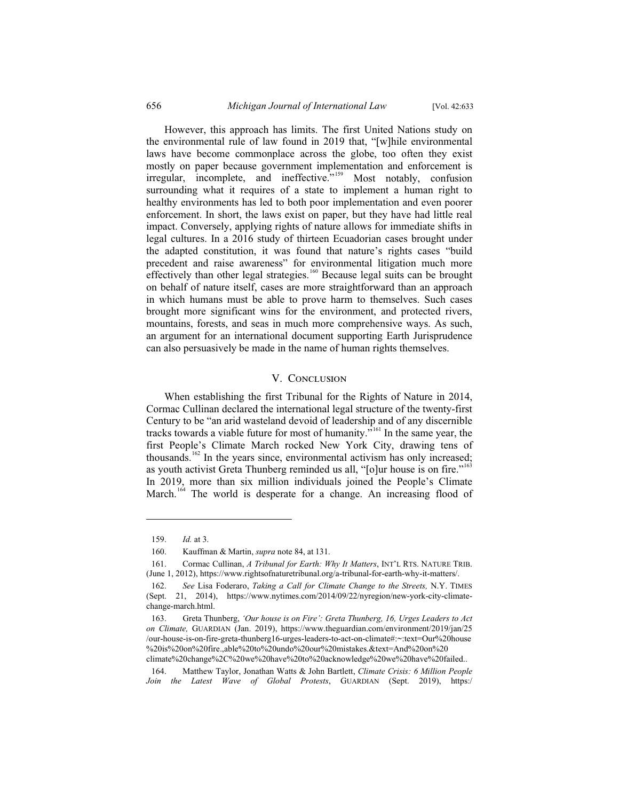However, this approach has limits. The first United Nations study on the environmental rule of law found in 2019 that, "[w]hile environmental laws have become commonplace across the globe, too often they exist mostly on paper because government implementation and enforcement is irregular, incomplete, and ineffective."<sup>159</sup> Most notably, confusion surrounding what it requires of a state to implement a human right to healthy environments has led to both poor implementation and even poorer enforcement. In short, the laws exist on paper, but they have had little real impact. Conversely, applying rights of nature allows for immediate shifts in legal cultures. In a 2016 study of thirteen Ecuadorian cases brought under the adapted constitution, it was found that nature's rights cases "build precedent and raise awareness" for environmental litigation much more effectively than other legal strategies.<sup>160</sup> Because legal suits can be brought on behalf of nature itself, cases are more straightforward than an approach in which humans must be able to prove harm to themselves. Such cases brought more significant wins for the environment, and protected rivers, mountains, forests, and seas in much more comprehensive ways. As such, an argument for an international document supporting Earth Jurisprudence can also persuasively be made in the name of human rights themselves.

#### V. CONCLUSION

When establishing the first Tribunal for the Rights of Nature in 2014, Cormac Cullinan declared the international legal structure of the twenty-first Century to be "an arid wasteland devoid of leadership and of any discernible tracks towards a viable future for most of humanity."161 In the same year, the first People's Climate March rocked New York City, drawing tens of thousands.<sup>162</sup> In the years since, environmental activism has only increased; as youth activist Greta Thunberg reminded us all, "[o]ur house is on fire."<sup>163</sup> In 2019, more than six million individuals joined the People's Climate March.<sup>164</sup> The world is desperate for a change. An increasing flood of

 <sup>159.</sup> *Id.* at 3.

 <sup>160.</sup> Kauffman & Martin, *supra* note 84, at 131.

 <sup>161.</sup> Cormac Cullinan, *A Tribunal for Earth: Why It Matters*, INT'L RTS. NATURE TRIB. (June 1, 2012), https://www.rightsofnaturetribunal.org/a-tribunal-for-earth-why-it-matters/.

 <sup>162.</sup> *See* Lisa Foderaro, *Taking a Call for Climate Change to the Streets,* N.Y. TIMES (Sept. 21, 2014), https://www.nytimes.com/2014/09/22/nyregion/new-york-city-climatechange-march.html.

 <sup>163.</sup> Greta Thunberg, *'Our house is on Fire': Greta Thunberg, 16, Urges Leaders to Act on Climate,* GUARDIAN (Jan. 2019), https://www.theguardian.com/environment/2019/jan/25 /our-house-is-on-fire-greta-thunberg16-urges-leaders-to-act-on-climate#:~:text=Our%20house %20is%20on%20fire.,able%20to%20undo%20our%20mistakes.&text=And%20on%20 climate%20change%2C%20we%20have%20to%20acknowledge%20we%20have%20failed..

 <sup>164.</sup> Matthew Taylor, Jonathan Watts & John Bartlett, *Climate Crisis: 6 Million People Join the Latest Wave of Global Protests*, GUARDIAN (Sept. 2019), https:/